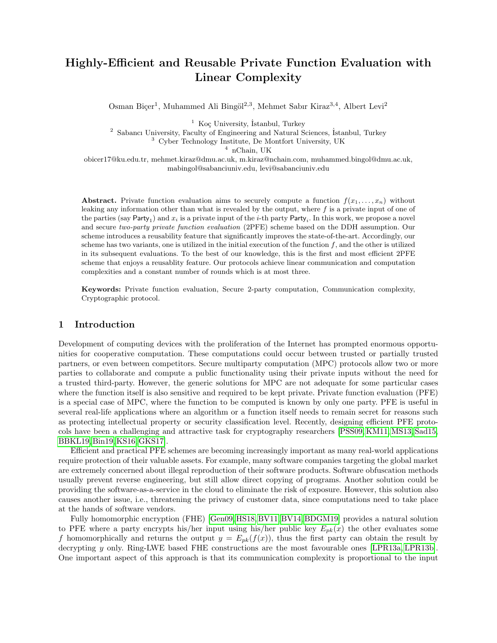# <span id="page-0-0"></span>Highly-Efficient and Reusable Private Function Evaluation with Linear Complexity

Osman Biçer<sup>1</sup>, Muhammed Ali Bingöl<sup>2,3</sup>, Mehmet Sabır Kiraz<sup>3,4</sup>, Albert Levi<sup>2</sup>

 $1$  Koç University, İstanbul, Turkey

<sup>2</sup> Sabancı University, Faculty of Engineering and Natural Sciences, İstanbul, Turkey

<sup>3</sup> Cyber Technology Institute, De Montfort University, UK

 $4$  nChain, UK

obicer17@ku.edu.tr, mehmet.kiraz@dmu.ac.uk, m.kiraz@nchain.com, muhammed.bingol@dmu.ac.uk, mabingol@sabanciuniv.edu, levi@sabanciuniv.edu

Abstract. Private function evaluation aims to securely compute a function  $f(x_1, \ldots, x_n)$  without leaking any information other than what is revealed by the output, where  $f$  is a private input of one of the parties (say Party<sub>1</sub>) and  $x_i$  is a private input of the *i*-th party Party<sub>i</sub>. In this work, we propose a novel and secure two-party private function evaluation (2PFE) scheme based on the DDH assumption. Our scheme introduces a reusability feature that significantly improves the state-of-the-art. Accordingly, our scheme has two variants, one is utilized in the initial execution of the function  $f$ , and the other is utilized in its subsequent evaluations. To the best of our knowledge, this is the first and most efficient 2PFE scheme that enjoys a reusablity feature. Our protocols achieve linear communication and computation complexities and a constant number of rounds which is at most three.

Keywords: Private function evaluation, Secure 2-party computation, Communication complexity, Cryptographic protocol.

### 1 Introduction

Development of computing devices with the proliferation of the Internet has prompted enormous opportunities for cooperative computation. These computations could occur between trusted or partially trusted partners, or even between competitors. Secure multiparty computation (MPC) protocols allow two or more parties to collaborate and compute a public functionality using their private inputs without the need for a trusted third-party. However, the generic solutions for MPC are not adequate for some particular cases where the function itself is also sensitive and required to be kept private. Private function evaluation (PFE) is a special case of MPC, where the function to be computed is known by only one party. PFE is useful in several real-life applications where an algorithm or a function itself needs to remain secret for reasons such as protecting intellectual property or security classification level. Recently, designing efficient PFE protocols have been a challenging and attractive task for cryptography researchers [\[PSS09,](#page-18-0) [KM11,](#page-17-0) [MS13,](#page-17-1) [Sad15,](#page-18-1) [BBKL19,](#page-16-0) [Bin19,](#page-16-1) [KS16,](#page-17-2)[GKS17\]](#page-17-3).

Efficient and practical PFE schemes are becoming increasingly important as many real-world applications require protection of their valuable assets. For example, many software companies targeting the global market are extremely concerned about illegal reproduction of their software products. Software obfuscation methods usually prevent reverse engineering, but still allow direct copying of programs. Another solution could be providing the software-as-a-service in the cloud to eliminate the risk of exposure. However, this solution also causes another issue, i.e., threatening the privacy of customer data, since computations need to take place at the hands of software vendors.

Fully homomorphic encryption (FHE) [\[Gen09,](#page-17-4) [HS18,](#page-17-5) [BV11,](#page-16-2) [BV14,](#page-16-3) [BDGM19\]](#page-16-4) provides a natural solution to PFE where a party encrypts his/her input using his/her public key  $E_{nk}(x)$  the other evaluates some f homomorphically and returns the output  $y = E_{pk}(f(x))$ , thus the first party can obtain the result by decrypting y only. Ring-LWE based FHE constructions are the most favourable ones [\[LPR13a,](#page-17-6) [LPR13b\]](#page-17-7). One important aspect of this approach is that its communication complexity is proportional to the input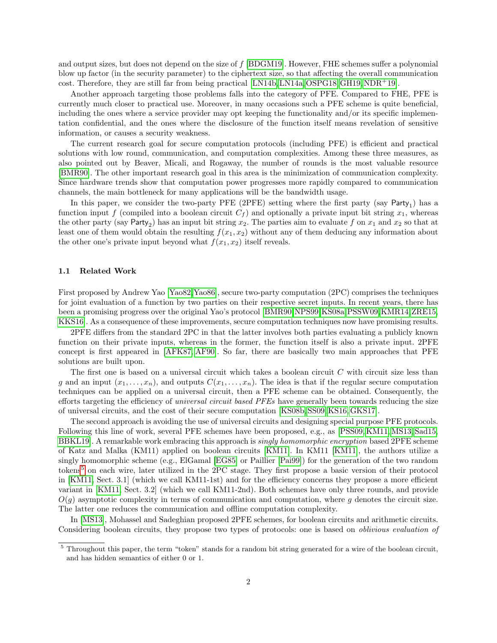and output sizes, but does not depend on the size of f [\[BDGM19\]](#page-16-4). However, FHE schemes suffer a polynomial blow up factor (in the security parameter) to the ciphertext size, so that affecting the overall communication cost. Therefore, they are still far from being practical [\[LN14b,](#page-17-8) [LN14a,](#page-17-9) [OSPG18,](#page-18-2)[GH19,](#page-17-10) [NDR](#page-18-3)+19].

Another approach targeting those problems falls into the category of PFE. Compared to FHE, PFE is currently much closer to practical use. Moreover, in many occasions such a PFE scheme is quite beneficial, including the ones where a service provider may opt keeping the functionality and/or its specific implementation confidential, and the ones where the disclosure of the function itself means revelation of sensitive information, or causes a security weakness.

The current research goal for secure computation protocols (including PFE) is efficient and practical solutions with low round, communication, and computation complexities. Among these three measures, as also pointed out by Beaver, Micali, and Rogaway, the number of rounds is the most valuable resource [\[BMR90\]](#page-16-5). The other important research goal in this area is the minimization of communication complexity. Since hardware trends show that computation power progresses more rapidly compared to communication channels, the main bottleneck for many applications will be the bandwidth usage.

In this paper, we consider the two-party PFE (2PFE) setting where the first party (say  $Party_1$ ) has a function input f (compiled into a boolean circuit  $C_f$ ) and optionally a private input bit string  $x_1$ , whereas the other party (say Party<sub>2</sub>) has an input bit string  $x_2$ . The parties aim to evaluate f on  $x_1$  and  $x_2$  so that at least one of them would obtain the resulting  $f(x_1, x_2)$  without any of them deducing any information about the other one's private input beyond what  $f(x_1, x_2)$  itself reveals.

#### 1.1 Related Work

First proposed by Andrew Yao [\[Yao82,](#page-18-4)[Yao86\]](#page-18-5), secure two-party computation (2PC) comprises the techniques for joint evaluation of a function by two parties on their respective secret inputs. In recent years, there has been a promising progress over the original Yao's protocol [\[BMR90,](#page-16-5)[NPS99,](#page-18-6)[KS08a,](#page-17-11)[PSSW09,](#page-18-7)[KMR14,](#page-17-12)[ZRE15,](#page-18-8) [KKS16\]](#page-17-13). As a consequence of these improvements, secure computation techniques now have promising results.

2PFE differs from the standard 2PC in that the latter involves both parties evaluating a publicly known function on their private inputs, whereas in the former, the function itself is also a private input. 2PFE concept is first appeared in [\[AFK87,](#page-16-6) [AF90\]](#page-16-7). So far, there are basically two main approaches that PFE solutions are built upon.

The first one is based on a universal circuit which takes a boolean circuit C with circuit size less than g and an input  $(x_1, \ldots, x_n)$ , and outputs  $C(x_1, \ldots, x_n)$ . The idea is that if the regular secure computation techniques can be applied on a universal circuit, then a PFE scheme can be obtained. Consequently, the efforts targeting the efficiency of *universal circuit based PFEs* have generally been towards reducing the size of universal circuits, and the cost of their secure computation [\[KS08b,](#page-17-14) [SS09,](#page-18-9) [KS16,](#page-17-2)[GKS17\]](#page-17-3).

The second approach is avoiding the use of universal circuits and designing special purpose PFE protocols. Following this line of work, several PFE schemes have been proposed, e.g., as [\[PSS09,](#page-18-0) [KM11,](#page-17-0) [MS13,](#page-17-1) [Sad15,](#page-18-1) [BBKL19\]](#page-16-0). A remarkable work embracing this approach is singly homomorphic encryption based 2PFE scheme of Katz and Malka (KM11) applied on boolean circuits [\[KM11\]](#page-17-0). In KM11 [\[KM11\]](#page-17-0), the authors utilize a singly homomorphic scheme (e.g., ElGamal [\[EG85\]](#page-16-8) or Paillier [\[Pai99\]](#page-18-10)) for the generation of the two random tokens[5](#page-0-0) on each wire, later utilized in the 2PC stage. They first propose a basic version of their protocol in [\[KM11,](#page-17-0) Sect. 3.1] (which we call KM11-1st) and for the efficiency concerns they propose a more efficient variant in [\[KM11,](#page-17-0) Sect. 3.2] (which we call KM11-2nd). Both schemes have only three rounds, and provide  $O(q)$  asymptotic complexity in terms of communication and computation, where g denotes the circuit size. The latter one reduces the communication and offline computation complexity.

In [\[MS13\]](#page-17-1), Mohassel and Sadeghian proposed 2PFE schemes, for boolean circuits and arithmetic circuits. Considering boolean circuits, they propose two types of protocols: one is based on oblivious evaluation of

<sup>&</sup>lt;sup>5</sup> Throughout this paper, the term "token" stands for a random bit string generated for a wire of the boolean circuit, and has hidden semantics of either 0 or 1.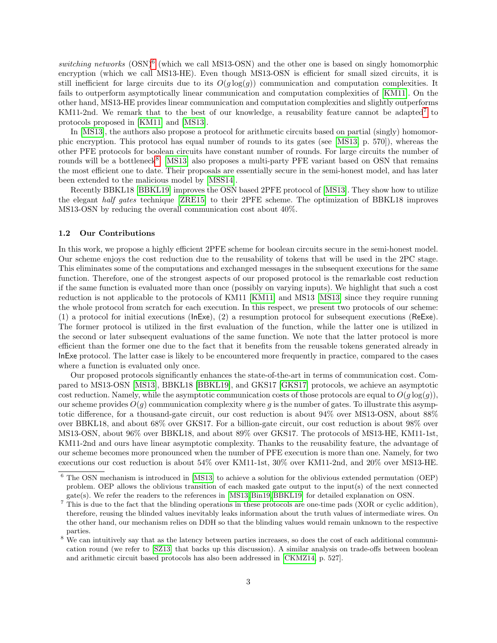switching networks  $(OSN)^6$  $(OSN)^6$  (which we call MS13-OSN) and the other one is based on singly homomorphic encryption (which we call MS13-HE). Even though MS13-OSN is efficient for small sized circuits, it is still inefficient for large circuits due to its  $O(g \log(g))$  communication and computation complexities. It fails to outperform asymptotically linear communication and computation complexities of [\[KM11\]](#page-17-0). On the other hand, MS13-HE provides linear communication and computation complexities and slightly outperforms KM11-2nd. We remark that to the best of our knowledge, a reusability feature cannot be adapted<sup>[7](#page-0-0)</sup> to protocols proposed in [\[KM11\]](#page-17-0) and [\[MS13\]](#page-17-1).

In [\[MS13\]](#page-17-1), the authors also propose a protocol for arithmetic circuits based on partial (singly) homomorphic encryption. This protocol has equal number of rounds to its gates (see [\[MS13,](#page-17-1) p. 570]), whereas the other PFE protocols for boolean circuits have constant number of rounds. For large circuits the number of rounds will be a bottleneck<sup>[8](#page-0-0)</sup>. [\[MS13\]](#page-17-1) also proposes a multi-party PFE variant based on OSN that remains the most efficient one to date. Their proposals are essentially secure in the semi-honest model, and has later been extended to the malicious model by [\[MSS14\]](#page-18-11).

Recently BBKL18 [\[BBKL19\]](#page-16-0) improves the OSN based 2PFE protocol of [\[MS13\]](#page-17-1). They show how to utilize the elegant half gates technique [\[ZRE15\]](#page-18-8) to their 2PFE scheme. The optimization of BBKL18 improves MS13-OSN by reducing the overall communication cost about 40%.

#### 1.2 Our Contributions

In this work, we propose a highly efficient 2PFE scheme for boolean circuits secure in the semi-honest model. Our scheme enjoys the cost reduction due to the reusability of tokens that will be used in the 2PC stage. This eliminates some of the computations and exchanged messages in the subsequent executions for the same function. Therefore, one of the strongest aspects of our proposed protocol is the remarkable cost reduction if the same function is evaluated more than once (possibly on varying inputs). We highlight that such a cost reduction is not applicable to the protocols of KM11 [\[KM11\]](#page-17-0) and MS13 [\[MS13\]](#page-17-1) since they require running the whole protocol from scratch for each execution. In this respect, we present two protocols of our scheme: (1) a protocol for initial executions (InExe), (2) a resumption protocol for subsequent executions (ReExe). The former protocol is utilized in the first evaluation of the function, while the latter one is utilized in the second or later subsequent evaluations of the same function. We note that the latter protocol is more efficient than the former one due to the fact that it benefits from the reusable tokens generated already in InExe protocol. The latter case is likely to be encountered more frequently in practice, compared to the cases where a function is evaluated only once.

Our proposed protocols significantly enhances the state-of-the-art in terms of communication cost. Compared to MS13-OSN [\[MS13\]](#page-17-1), BBKL18 [\[BBKL19\]](#page-16-0), and GKS17 [\[GKS17\]](#page-17-3) protocols, we achieve an asymptotic cost reduction. Namely, while the asymptotic communication costs of those protocols are equal to  $O(g \log(g))$ , our scheme provides  $O(g)$  communication complexity where g is the number of gates. To illustrate this asymptotic difference, for a thousand-gate circuit, our cost reduction is about 94% over MS13-OSN, about 88% over BBKL18, and about 68% over GKS17. For a billion-gate circuit, our cost reduction is about 98% over MS13-OSN, about 96% over BBKL18, and about 89% over GKS17. The protocols of MS13-HE, KM11-1st, KM11-2nd and ours have linear asymptotic complexity. Thanks to the reusability feature, the advantage of our scheme becomes more pronounced when the number of PFE execution is more than one. Namely, for two executions our cost reduction is about 54% over KM11-1st, 30% over KM11-2nd, and 20% over MS13-HE.

<sup>6</sup> The OSN mechanism is introduced in [\[MS13\]](#page-17-1) to achieve a solution for the oblivious extended permutation (OEP) problem. OEP allows the oblivious transition of each masked gate output to the input(s) of the next connected gate(s). We refer the readers to the references in [\[MS13,](#page-17-1) [Bin19,](#page-16-1) [BBKL19\]](#page-16-0) for detailed explanation on OSN.

<sup>&</sup>lt;sup>7</sup> This is due to the fact that the blinding operations in these protocols are one-time pads (XOR or cyclic addition), therefore, reusing the blinded values inevitably leaks information about the truth values of intermediate wires. On the other hand, our mechanism relies on DDH so that the blinding values would remain unknown to the respective parties.

<sup>&</sup>lt;sup>8</sup> We can intuitively say that as the latency between parties increases, so does the cost of each additional communication round (we refer to [\[SZ13\]](#page-18-12) that backs up this discussion). A similar analysis on trade-offs between boolean and arithmetic circuit based protocols has also been addressed in [\[CKMZ14,](#page-16-9) p. 527].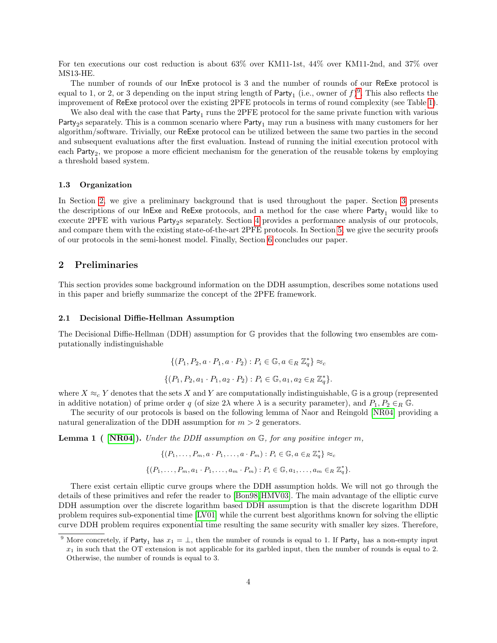For ten executions our cost reduction is about 63% over KM11-1st, 44% over KM11-2nd, and 37% over MS13-HE.

The number of rounds of our InExe protocol is 3 and the number of rounds of our ReExe protocol is equal to 1, or 2, or 3 depending on the input string length of  $Party_1$  (i.e., owner of  $f$ )<sup>[9](#page-0-0)</sup>. This also reflects the improvement of ReExe protocol over the existing 2PFE protocols in terms of round complexity (see Table [1\)](#page-10-0).

We also deal with the case that  $Party_1$  runs the 2PFE protocol for the same private function with various Party<sub>2</sub>s separately. This is a common scenario where Party<sub>1</sub> may run a business with many customers for her algorithm/software. Trivially, our ReExe protocol can be utilized between the same two parties in the second and subsequent evaluations after the first evaluation. Instead of running the initial execution protocol with each Party<sub>2</sub>, we propose a more efficient mechanism for the generation of the reusable tokens by employing a threshold based system.

#### 1.3 Organization

In Section [2,](#page-3-0) we give a preliminary background that is used throughout the paper. Section [3](#page-5-0) presents the descriptions of our InExe and ReExe protocols, and a method for the case where Party<sub>1</sub> would like to execute 2PFE with various Party<sub>2</sub>s separately. Section [4](#page-9-0) provides a performance analysis of our protocols, and compare them with the existing state-of-the-art 2PFE protocols. In Section [5,](#page-12-0) we give the security proofs of our protocols in the semi-honest model. Finally, Section [6](#page-15-0) concludes our paper.

### <span id="page-3-0"></span>2 Preliminaries

This section provides some background information on the DDH assumption, describes some notations used in this paper and briefly summarize the concept of the 2PFE framework.

#### 2.1 Decisional Diffie-Hellman Assumption

The Decisional Diffie-Hellman (DDH) assumption for G provides that the following two ensembles are computationally indistinguishable

$$
\{(P_1, P_2, a \cdot P_1, a \cdot P_2) : P_i \in \mathbb{G}, a \in_R \mathbb{Z}_q^*\} \approx_c
$$
  

$$
\{(P_1, P_2, a_1 \cdot P_1, a_2 \cdot P_2) : P_i \in \mathbb{G}, a_1, a_2 \in_R \mathbb{Z}_q^*\}.
$$

where  $X \approx_c Y$  denotes that the sets X and Y are computationally indistinguishable, G is a group (represented in additive notation) of prime order q (of size  $2\lambda$  where  $\lambda$  is a security parameter), and  $P_1, P_2 \in_R \mathbb{G}$ .

The security of our protocols is based on the following lemma of Naor and Reingold [\[NR04\]](#page-18-13) providing a natural generalization of the DDH assumption for  $m > 2$  generators.

<span id="page-3-1"></span>**Lemma 1** (  $[NR04]$ ). Under the DDH assumption on  $\mathbb{G}$ , for any positive integer m,

$$
\{(P_1,\ldots,P_m,a\cdot P_1,\ldots,a\cdot P_m):P_i\in\mathbb{G},a\in_R\mathbb{Z}_q^*\}\approx_c
$$
  

$$
\{(P_1,\ldots,P_m,a_1\cdot P_1,\ldots,a_m\cdot P_m):P_i\in\mathbb{G},a_1,\ldots,a_m\in_R\mathbb{Z}_q^*\}.
$$

There exist certain elliptic curve groups where the DDH assumption holds. We will not go through the details of these primitives and refer the reader to [\[Bon98,](#page-16-10)[HMV03\]](#page-17-15). The main advantage of the elliptic curve DDH assumption over the discrete logarithm based DDH assumption is that the discrete logarithm DDH problem requires sub-exponential time [\[LV01\]](#page-17-16) while the current best algorithms known for solving the elliptic curve DDH problem requires exponential time resulting the same security with smaller key sizes. Therefore,

<sup>&</sup>lt;sup>9</sup> More concretely, if Party<sub>1</sub> has  $x_1 = \perp$ , then the number of rounds is equal to 1. If Party<sub>1</sub> has a non-empty input  $x_1$  in such that the OT extension is not applicable for its garbled input, then the number of rounds is equal to 2. Otherwise, the number of rounds is equal to 3.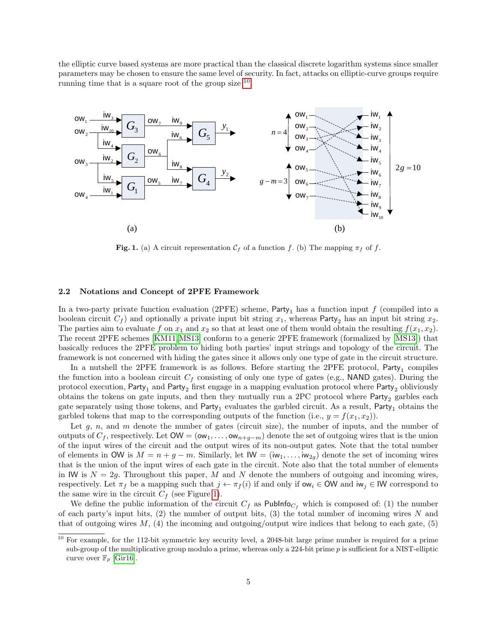the elliptic curve based systems are more practical than the classical discrete logarithm systems since smaller parameters may be chosen to ensure the same level of security. In fact, attacks on elliptic-curve groups require running time that is a square root of the group size <sup>[10](#page-0-0)</sup>.



<span id="page-4-0"></span>Fig. 1. (a) A circuit representation  $\mathcal{C}_f$  of a function f. (b) The mapping  $\pi_f$  of f.

#### 2.2 Notations and Concept of 2PFE Framework

In a two-party private function evaluation (2PFE) scheme, Party<sub>1</sub> has a function input f (compiled into a boolean circuit  $C_f$ ) and optionally a private input bit string  $x_1$ , whereas Party<sub>2</sub> has an input bit string  $x_2$ . The parties aim to evaluate f on  $x_1$  and  $x_2$  so that at least one of them would obtain the resulting  $f(x_1, x_2)$ . The recent 2PFE schemes [\[KM11,](#page-17-0)[MS13\]](#page-17-1) conform to a generic 2PFE framework (formalized by [\[MS13\]](#page-17-1)) that basically reduces the 2PFE problem to hiding both parties' input strings and topology of the circuit. The framework is not concerned with hiding the gates since it allows only one type of gate in the circuit structure.

In a nutshell the 2PFE framework is as follows. Before starting the 2PFE protocol,  $Party_1$  compiles the function into a boolean circuit  $C_f$  consisting of only one type of gates (e.g., NAND gates). During the protocol execution, Party<sub>1</sub> and Party<sub>2</sub> first engage in a mapping evaluation protocol where Party<sub>2</sub> obliviously obtains the tokens on gate inputs, and then they mutually run a 2PC protocol where  $Party<sub>2</sub>$  garbles each gate separately using those tokens, and  $Party_1$  evaluates the garbled circuit. As a result,  $Party_1$  obtains the garbled tokens that map to the corresponding outputs of the function (i.e.,  $y = f(x_1, x_2)$ ).

Let  $g, n$ , and  $m$  denote the number of gates (circuit size), the number of inputs, and the number of outputs of  $C_f$ , respectively. Let  $OW = (ow_1, \ldots,ow_{n+q-m})$  denote the set of outgoing wires that is the union of the input wires of the circuit and the output wires of its non-output gates. Note that the total number of elements in OW is  $M = n + g - m$ . Similarly, let  $\mathsf{IW} = (\mathsf{iw}_1, \dots, \mathsf{iw}_{2g})$  denote the set of incoming wires that is the union of the input wires of each gate in the circuit. Note also that the total number of elements in IW is  $N = 2g$ . Throughout this paper, M and N denote the numbers of outgoing and incoming wires, respectively. Let  $\pi_f$  be a mapping such that  $j \leftarrow \pi_f(i)$  if and only if  $ow_i \in OW$  and  $iw_j \in IW$  correspond to the same wire in the circuit  $C_f$  (see Figure [1\)](#page-4-0).

We define the public information of the circuit  $C_f$  as Publinfo<sub>Cf</sub> which is composed of: (1) the number of each party's input bits,  $(2)$  the number of output bits,  $(3)$  the total number of incoming wires N and that of outgoing wires  $M$ , (4) the incoming and outgoing/output wire indices that belong to each gate, (5)

<sup>&</sup>lt;sup>10</sup> For example, for the 112-bit symmetric key security level, a 2048-bit large prime number is required for a prime sub-group of the multiplicative group modulo a prime, whereas only a 224-bit prime  $p$  is sufficient for a NIST-elliptic curve over  $\mathbb{F}_p$  [\[Gir16\]](#page-17-17).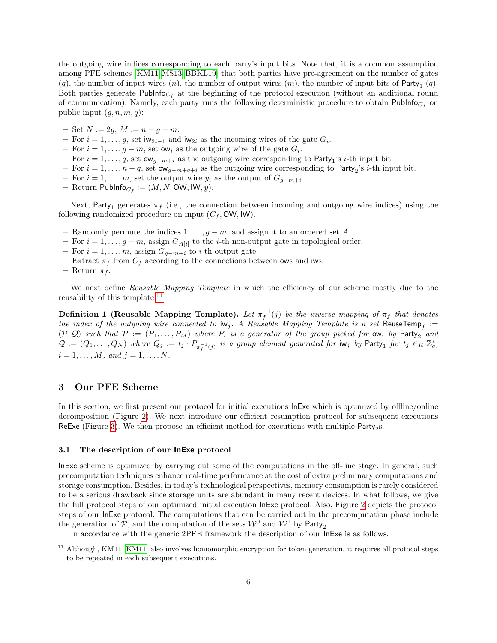the outgoing wire indices corresponding to each party's input bits. Note that, it is a common assumption among PFE schemes [\[KM11,](#page-17-0)[MS13,](#page-17-1) [BBKL19\]](#page-16-0) that both parties have pre-agreement on the number of gates  $(g)$ , the number of input wires  $(n)$ , the number of output wires  $(m)$ , the number of input bits of Party<sub>1</sub>  $(q)$ . Both parties generate  $\mathsf{Publnfo}_{C_f}$  at the beginning of the protocol execution (without an additional round of communication). Namely, each party runs the following deterministic procedure to obtain  $\mathsf{PubInfo}_{C_f}$  on public input  $(q, n, m, q)$ :

- Set  $N := 2g, M := n + g m$ .
- For  $i = 1, \ldots, g$ , set iw<sub>2i–1</sub> and iw<sub>2i</sub> as the incoming wires of the gate  $G_i$ .
- For  $i = 1, \ldots, g m$ , set ow<sub>i</sub> as the outgoing wire of the gate  $G_i$ .
- $-$  For  $i = 1, ..., q$ , set  $\alpha w_{g-m+i}$  as the outgoing wire corresponding to Party<sub>1</sub>'s *i*-th input bit.
- $-$  For  $i = 1, ..., n q$ , set  $\alpha w_{g-m+q+i}$  as the outgoing wire corresponding to Party<sub>2</sub>'s *i*-th input bit.
- For  $i = 1, \ldots, m$ , set the output wire  $y_i$  as the output of  $G_{g-m+i}$ .
- $-$  Return PubInfo $_{C_f} := (M, N, \text{OW}, \text{IW}, y).$

Next, Party<sub>1</sub> generates  $\pi_f$  (i.e., the connection between incoming and outgoing wire indices) using the following randomized procedure on input  $(C_f, \text{OW}, \text{IW})$ .

- Randomly permute the indices  $1, \ldots, g-m$ , and assign it to an ordered set A.
- For  $i = 1, \ldots, g-m$ , assign  $G_{A[i]}$  to the *i*-th non-output gate in topological order.
- For  $i = 1, \ldots, m$ , assign  $G_{g-m+i}$  to *i*-th output gate.
- Extract  $\pi_f$  from  $C_f$  according to the connections between ows and iws.
- Return  $\pi_f$ .

We next define Reusable Mapping Template in which the efficiency of our scheme mostly due to the reusability of this template.<sup>[11](#page-0-0)</sup>

**Definition 1 (Reusable Mapping Template).** Let  $\pi_f^{-1}(j)$  be the inverse mapping of  $\pi_f$  that denotes the index of the outgoing wire connected to  $iw_j$ . A Reusable Mapping Template is a set ReuseTemp<sub>f</sub> :=  $(P, Q)$  such that  $P := (P_1, \ldots, P_M)$  where  $P_i$  is a generator of the group picked for  $ow_i$  by  $Party_2$  and  $Q := (Q_1, \ldots, Q_N)$  where  $Q_j := t_j \cdot P_{\pi^{-1}_f(j)}$  is a group element generated for  $\mathrm{iw}_j$  by  $\mathsf{Party}_1$  for  $t_j \in_R \mathbb{Z}_q^*$ ,  $i = 1, \ldots, M, \text{ and } j = 1, \ldots, N.$ 

## <span id="page-5-0"></span>3 Our PFE Scheme

In this section, we first present our protocol for initial executions InExe which is optimized by offline/online decomposition (Figure [2\)](#page-6-0). We next introduce our efficient resumption protocol for subsequent executions ReExe (Figure [3\)](#page-8-0). We then propose an efficient method for executions with multiple  $\mathsf{Party}_2$ s.

#### <span id="page-5-1"></span>3.1 The description of our InExe protocol

InExe scheme is optimized by carrying out some of the computations in the off-line stage. In general, such precomputation techniques enhance real-time performance at the cost of extra preliminary computations and storage consumption. Besides, in today's technological perspectives, memory consumption is rarely considered to be a serious drawback since storage units are abundant in many recent devices. In what follows, we give the full protocol steps of our optimized initial execution InExe protocol. Also, Figure [2](#page-6-0) depicts the protocol steps of our InExe protocol. The computations that can be carried out in the precomputation phase include the generation of  $P$ , and the computation of the sets  $W^0$  and  $W^1$  by Party<sub>2</sub>.

In accordance with the generic 2PFE framework the description of our InExe is as follows.

<sup>&</sup>lt;sup>11</sup> Although, KM11 [\[KM11\]](#page-17-0) also involves homomorphic encryption for token generation, it requires all protocol steps to be repeated in each subsequent executions.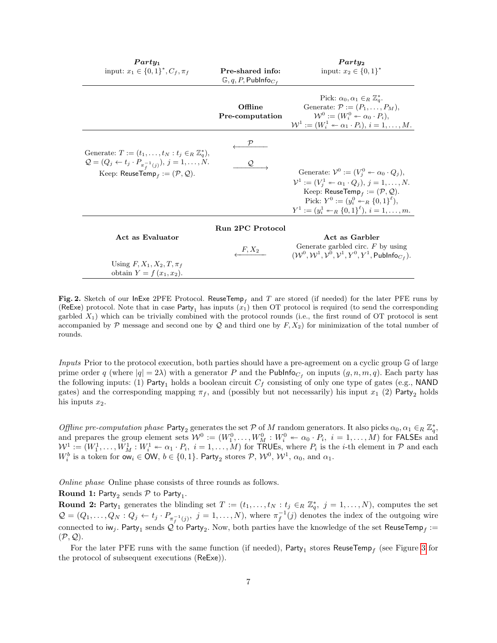| $Party_1$<br>input: $x_1 \in \{0,1\}^*, C_f, \pi_f$                                                                                                                                                           | Pre-shared info:<br>$\mathbb{G}, q, P, \mathsf{Public}_{C_{f}}$ | $Party_2$<br>input: $x_2 \in \{0,1\}^*$                                                                                                                                                                                                                                                                                                        |  |
|---------------------------------------------------------------------------------------------------------------------------------------------------------------------------------------------------------------|-----------------------------------------------------------------|------------------------------------------------------------------------------------------------------------------------------------------------------------------------------------------------------------------------------------------------------------------------------------------------------------------------------------------------|--|
|                                                                                                                                                                                                               | Offline<br>Pre-computation                                      | Pick: $\alpha_0, \alpha_1 \in_R \mathbb{Z}_q^*$ .<br>Generate: $\mathcal{P} := (P_1, \ldots, P_M)$ ,<br>$\mathcal{W}^0 := (W_i^0 \leftarrow \alpha_0 \cdot P_i),$<br>$\mathcal{W}^1 := (W_i^1 \leftarrow \alpha_1 \cdot P_i), i = 1, \ldots, M.$                                                                                               |  |
| Generate: $T := (t_1, \ldots, t_N : t_i \in_R \mathbb{Z}_q^*),$<br>$Q = (Q_j \leftarrow t_j \cdot P_{\pi_{\epsilon}^{-1}(j)}), j = 1, , N.$<br>Keep: ReuseTemp <sub>f</sub> := $(\mathcal{P}, \mathcal{Q})$ . |                                                                 | Generate: $\mathcal{V}^0 := (V_i^0 \leftarrow \alpha_0 \cdot Q_j),$<br>$\mathcal{V}^1 := (V_i^1 \leftarrow \alpha_1 \cdot Q_j), j = 1, \ldots, N.$<br>Keep: ReuseTemp <sub>f</sub> := $(\mathcal{P}, \mathcal{Q})$ .<br>Pick: $Y^0 := (y_i^0 \leftarrow_R \{0,1\}^{\ell}),$<br>$Y^1 := (y_i^1 \leftarrow_R \{0,1\}^{\ell}), i = 1, \ldots, m.$ |  |
| Act as Evaluator<br>Using $F, X_1, X_2, T, \pi_f$<br>obtain $Y = f(x_1, x_2)$ .                                                                                                                               | <b>Run 2PC Protocol</b><br>$F, X_2$                             | Act as Garbler<br>Generate garbled circ. $F$ by using<br>$(W^0, \mathcal{W}^1, \mathcal{V}^0, \mathcal{V}^1, Y^0, Y^1, \mathsf{PubInfo}_{C_f}).$                                                                                                                                                                                               |  |

<span id="page-6-0"></span>Fig. 2. Sketch of our InExe 2PFE Protocol. ReuseTemp<sub>f</sub> and T are stored (if needed) for the later PFE runs by (ReExe) protocol. Note that in case Party<sub>1</sub> has inputs  $(x_1)$  then OT protocol is required (to send the corresponding garbled  $X_1$ ) which can be trivially combined with the protocol rounds (i.e., the first round of OT protocol is sent accompanied by  $\mathcal P$  message and second one by  $\mathcal Q$  and third one by  $F, X_2$  for minimization of the total number of rounds.

Inputs Prior to the protocol execution, both parties should have a pre-agreement on a cyclic group G of large prime order q (where  $|q| = 2\lambda$ ) with a generator P and the Publinfo<sub>Cf</sub> on inputs  $(g, n, m, q)$ . Each party has the following inputs: (1) Party<sub>1</sub> holds a boolean circuit  $C_f$  consisting of only one type of gates (e.g., NAND) gates) and the corresponding mapping  $\pi_f$ , and (possibly but not necessarily) his input  $x_1$  (2) Party<sub>2</sub> holds his inputs  $x_2$ .

Offline pre-computation phase Party<sub>2</sub> generates the set P of M random generators. It also picks  $\alpha_0, \alpha_1 \in_R \mathbb{Z}_q^*$ , and prepares the group element sets  $W^0 := (W_1^0, \ldots, W_M^0 : W_i^0 \leftarrow \alpha_0 \cdot P_i, i = 1, \ldots, M)$  for FALSEs and  $W^1 := (W_1^1, \ldots, W_M^1 : W_i^1 \leftarrow \alpha_1 \cdot P_i, i = 1, \ldots, M)$  for TRUEs, where  $P_i$  is the *i*-th element in  $P$  and each  $W_i^b$  is a token for  $\mathsf{ow}_i \in \mathsf{OW}, b \in \{0,1\}$ . Party<sub>2</sub> stores  $\mathcal{P}, \mathcal{W}^0, \mathcal{W}^1, \alpha_0$ , and  $\alpha_1$ .

Online phase Online phase consists of three rounds as follows.

# **Round 1:** Party<sub>2</sub> sends  $P$  to Party<sub>1</sub>.

**Round 2:** Party<sub>1</sub> generates the blinding set  $T := (t_1, \ldots, t_N : t_j \in_R \mathbb{Z}_q^*, j = 1, \ldots, N)$ , computes the set  $\mathcal{Q} = (Q_1, \ldots, Q_N : Q_j \leftarrow t_j \cdot P_{\pi_f^{-1}(j)}, \ j = 1, \ldots, N),$  where  $\pi_f^{-1}(j)$  denotes the index of the outgoing wire connected to  $\mathsf{iw}_j$ . Party $_1$  sends  $\mathcal Q$  to Party $_2$ . Now, both parties have the knowledge of the set ReuseTemp $_f:=$  $(\mathcal{P}, \mathcal{Q})$ .

For the later PFE runs with the same function (if needed),  ${\sf Party}_1$  stores  ${\sf ReuseTemp}_f$  (see Figure [3](#page-8-0) for the protocol of subsequent executions (ReExe)).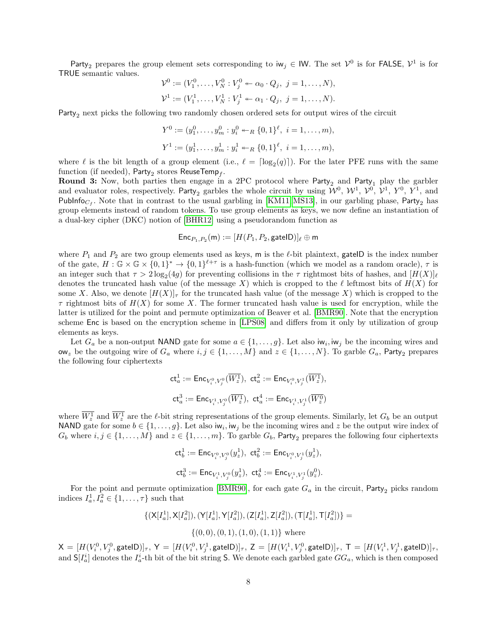Party<sub>2</sub> prepares the group element sets corresponding to  $iw_j \in \mathsf{IW}$ . The set  $\mathcal{V}^0$  is for FALSE,  $\mathcal{V}^1$  is for TRUE semantic values.

$$
\mathcal{V}^0 := (V_1^0, \dots, V_N^0 : V_j^0 \leftarrow \alpha_0 \cdot Q_j, \ j = 1, \dots, N),
$$
  

$$
\mathcal{V}^1 := (V_1^1, \dots, V_N^1 : V_j^1 \leftarrow \alpha_1 \cdot Q_j, \ j = 1, \dots, N).
$$

Party<sub>2</sub> next picks the following two randomly chosen ordered sets for output wires of the circuit

$$
Y^{0} := (y_1^{0}, \dots, y_m^{0} : y_i^{0} \leftarrow_R \{0, 1\}^{\ell}, \ i = 1, \dots, m),
$$
  

$$
Y^{1} := (y_1^{1}, \dots, y_m^{1} : y_i^{1} \leftarrow_R \{0, 1\}^{\ell}, \ i = 1, \dots, m),
$$

where  $\ell$  is the bit length of a group element (i.e.,  $\ell = \lceil \log_2(q) \rceil$ ). For the later PFE runs with the same function (if needed),  ${\sf Party}_2$  stores  ${\sf ReuseTemp}_f.$ 

**Round 3:** Now, both parties then engage in a 2PC protocol where Party<sub>2</sub> and Party<sub>1</sub> play the garbler and evaluator roles, respectively. Party<sub>2</sub> garbles the whole circuit by using  $\mathcal{W}^0$ ,  $\mathcal{W}^1$ ,  $\mathcal{V}^0$ ,  $\mathcal{V}^1$ ,  $Y^0$ ,  $Y^1$ , and PubInfo<sub>Cf</sub>. Note that in contrast to the usual garbling in [\[KM11,](#page-17-0) [MS13\]](#page-17-1), in our garbling phase, Party<sub>2</sub> has group elements instead of random tokens. To use group elements as keys, we now define an instantiation of a dual-key cipher (DKC) notion of [\[BHR12\]](#page-16-11) using a pseudorandom function as

$$
\mathsf{Enc}_{P_1,P_2}(\mathsf{m}):=[H(P_1,P_2,\mathsf{gateID})]_{\ell}\oplus \mathsf{m}
$$

where  $P_1$  and  $P_2$  are two group elements used as keys, m is the  $\ell$ -bit plaintext, gateID is the index number of the gate,  $H: \mathbb{G} \times \mathbb{G} \times \{0,1\}^* \to \{0,1\}^{\ell+\tau}$  is a hash-function (which we model as a random oracle),  $\tau$  is an integer such that  $\tau > 2 \log_2(4g)$  for preventing collisions in the  $\tau$  rightmost bits of hashes, and  $[H(X)]_\ell$ denotes the truncated hash value (of the message X) which is cropped to the  $\ell$  leftmost bits of  $H(X)$  for some X. Also, we denote  $[H(X)]_{\tau}$  for the truncated hash value (of the message X) which is cropped to the  $\tau$  rightmost bits of  $H(X)$  for some X. The former truncated hash value is used for encryption, while the latter is utilized for the point and permute optimization of Beaver et al. [\[BMR90\]](#page-16-5). Note that the encryption scheme Enc is based on the encryption scheme in [\[LPS08\]](#page-17-18) and differs from it only by utilization of group elements as keys.

Let  $G_a$  be a non-output NAND gate for some  $a \in \{1, \ldots, g\}$ . Let also  $\mathsf{iw}_i, \mathsf{iw}_j$  be the incoming wires and ow<sub>z</sub> be the outgoing wire of  $G_a$  where  $i, j \in \{1, ..., M\}$  and  $z \in \{1, ..., N\}$ . To garble  $G_a$ , Party<sub>2</sub> prepares the following four ciphertexts

$$
\begin{aligned} \mathsf{ct}^1_a&:=\mathsf{Enc}_{V^0_i,V^0_j}(\overline{W^1_z}), \ \mathsf{ct}^2_a:=\mathsf{Enc}_{V^0_i,V^1_j}(\overline{W^1_z}),\\ \mathsf{ct}^3_a&:=\mathsf{Enc}_{V^1_i,V^0_j}(\overline{W^1_z}), \ \mathsf{ct}^4_a:=\mathsf{Enc}_{V^1_i,V^1_j}(\overline{W^0_z}) \end{aligned}
$$

where  $W_z^1$  and  $W_z^1$  are the  $\ell$ -bit string representations of the group elements. Similarly, let  $G_b$  be an output NAND gate for some  $b \in \{1, ..., g\}$ . Let also  $\mathsf{iw}_i, \mathsf{iw}_j$  be the incoming wires and z be the output wire index of  $G_b$  where  $i, j \in \{1, \ldots, M\}$  and  $z \in \{1, \ldots, m\}$ . To garble  $G_b$ , Party<sub>2</sub> prepares the following four ciphertexts

$$
\begin{aligned} & \mathsf{ct}^1_b := \mathsf{Enc}_{V^0_i, V^0_j}(y^1_z), \, \, \mathsf{ct}^2_b := \mathsf{Enc}_{V^0_i, V^1_j}(y^1_z), \\ & \mathsf{ct}^3_b := \mathsf{Enc}_{V^1_i, V^0_j}(y^1_z), \, \, \mathsf{ct}^4_b := \mathsf{Enc}_{V^1_i, V^1_j}(y^0_z). \end{aligned}
$$

For the point and permute optimization [\[BMR90\]](#page-16-5), for each gate  $G_a$  in the circuit, Party<sub>2</sub> picks random indices  $I_a^1, I_a^2 \in \{1, \ldots, \tau\}$  such that

$$
\{(\mathsf{X}[I_a^1], \mathsf{X}[I_a^2]), (\mathsf{Y}[I_a^1], \mathsf{Y}[I_a^2]), (\mathsf{Z}[I_a^1], \mathsf{Z}[I_a^2]), (\mathsf{T}[I_a^1], \mathsf{T}[I_a^2])\} = \{ (0,0), (0,1), (1,0), (1,1) \} \text{ where}
$$

 $\mathsf{X}=[H(V_i^0,V_j^0,\mathsf{gateID})]_{\tau},\ \mathsf{Y}=[H(V_i^0,V_j^1,\mathsf{gateID})]_{\tau},\ \mathsf{Z}=[H(V_i^1,V_j^0,\mathsf{gateID})]_{\tau},\ \mathsf{T}=[H(V_i^1,V_j^1,\mathsf{gateID})]_{\tau},$ and  $S[I_a^i]$  denotes the  $I_a^i$ -th bit of the bit string S. We denote each garbled gate  $GG_a$ , which is then composed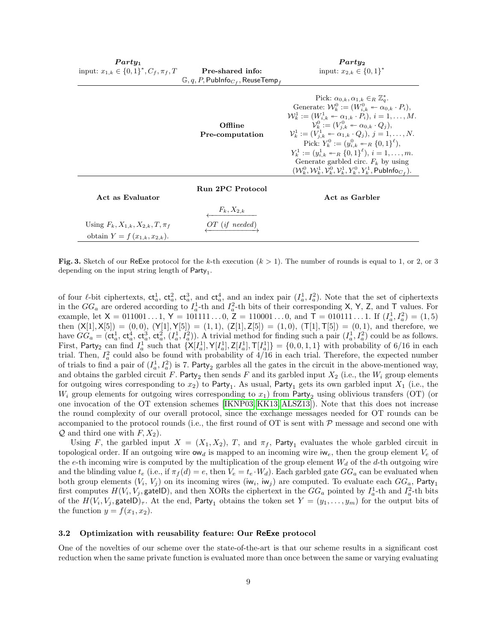| $Partu_1$<br>input: $x_{1,k} \in \{0,1\}^*, C_f, \pi_f, T$                   | Pre-shared info:<br>$\mathbb{G}, q, P,$ Publnfo $_{C_f}$ , ReuseTemp <sub>f</sub> | Partu <sub>2</sub><br>input: $x_{2,k} \in \{0,1\}^*$                                                                                                                                                                                                                                                                                                                                                                                                                                                                                                                                                                                                                                            |
|------------------------------------------------------------------------------|-----------------------------------------------------------------------------------|-------------------------------------------------------------------------------------------------------------------------------------------------------------------------------------------------------------------------------------------------------------------------------------------------------------------------------------------------------------------------------------------------------------------------------------------------------------------------------------------------------------------------------------------------------------------------------------------------------------------------------------------------------------------------------------------------|
|                                                                              | Offline<br>Pre-computation                                                        | Pick: $\alpha_{0,k}, \alpha_{1,k} \in_R \mathbb{Z}_q^*$ .<br>Generate: $\mathcal{W}_k^0 := (W_{i,k}^0 \twoheadleftarrow \alpha_{0,k} \cdot P_i),$<br>$\mathcal{W}_k^1 := (W_{i,k}^1 \leftarrow \alpha_{1,k} \cdot P_i), i = 1, \ldots, M.$<br>$\mathcal{V}_k^0 := (V_{i,k}^0 \leftarrow \alpha_{0,k} \cdot Q_i),$<br>$\mathcal{V}_k^1 := (V_{i,k}^1 \leftarrow \alpha_{1,k} \cdot Q_j), j = 1, \ldots, N.$<br>Pick: $Y_k^0 := (y_{i,k}^0 \twoheadleftarrow_R \{0,1\}^k)$ ,<br>$Y_k^1 := (y_{i,k}^1 \leftarrow_R \{0,1\}^{\ell}), i = 1, \ldots, m.$<br>Generate garbled circ. $F_k$ by using<br>$(W_k^0, \mathcal{W}_k^1, \mathcal{V}_k^0, \mathcal{V}_k^1, Y_k^0, Y_k^1, \mathsf{Public}_C)$ . |
| Act as Evaluator                                                             | Run 2PC Protocol<br>$\frac{F_k, X_{2,k}}{I}$                                      | Act as Garbler                                                                                                                                                                                                                                                                                                                                                                                                                                                                                                                                                                                                                                                                                  |
| Using $F_k, X_{1,k}, X_{2,k}, T, \pi_f$<br>obtain $Y = f(x_{1,k}, x_{2,k}).$ | $OT$ (if needed)                                                                  |                                                                                                                                                                                                                                                                                                                                                                                                                                                                                                                                                                                                                                                                                                 |

<span id="page-8-0"></span>Fig. 3. Sketch of our ReExe protocol for the k-th execution  $(k > 1)$ . The number of rounds is equal to 1, or 2, or 3 depending on the input string length of  $Party_1$ .

of four  $\ell$ -bit ciphertexts,  $ct_a^1$ ,  $ct_a^2$ ,  $ct_a^3$ , and  $ct_a^4$ , and an index pair  $(I_a^1, I_a^2)$ . Note that the set of ciphertexts in the  $GG_a$  are ordered according to  $I_a^1$ -th and  $I_a^2$ -th bits of their corresponding X, Y, Z, and T values. For example, let  $X = 011001...1$ ,  $Y = 101111...0$ ,  $\overline{Z} = 110001...0$ , and  $\overline{T} = 010111...1$ . If  $(I_a^1, I_a^2) = (1, 5)$ then  $(X[1], X[5]) = (0, 0), (Y[1], Y[5]) = (1, 1), (Z[1], Z[5]) = (1, 0), (T[1], T[5]) = (0, 1),$  and therefore, we have  $GG_a = (ct_a^1, ct_a^4, ct_a^3, ct_a^2, (I_a^1, I_a^2))$ . A trivial method for finding such a pair  $(I_a^1, I_a^2)$  could be as follows. First, Party<sub>2</sub> can find  $I_a^1$  such that  $\{X[I_a^1], Y[I_a^1], Z[I_a^1], T[I_a^1]\} = \{0, 0, 1, 1\}$  with probability of 6/16 in each trial. Then,  $I_a^2$  could also be found with probability of  $4/16$  in each trial. Therefore, the expected number of trials to find a pair of  $(I_a^1, I_a^2)$  is 7. Party<sub>2</sub> garbles all the gates in the circuit in the above-mentioned way, and obtains the garbled circuit F. Party<sub>2</sub> then sends F and its garbled input  $X_2$  (i.e., the  $W_i$  group elements for outgoing wires corresponding to  $x_2$ ) to Party<sub>1</sub>. As usual, Party<sub>1</sub> gets its own garbled input  $X_1$  (i.e., the  $W_i$  group elements for outgoing wires corresponding to  $x_1$ ) from Party<sub>2</sub> using oblivious transfers (OT) (or one invocation of the OT extension schemes [\[IKNP03,](#page-17-19) [KK13,](#page-17-20) [ALSZ13\]](#page-16-12)). Note that this does not increase the round complexity of our overall protocol, since the exchange messages needed for OT rounds can be accompanied to the protocol rounds (i.e., the first round of  $\overline{OT}$  is sent with  $\overline{P}$  message and second one with  $\mathcal Q$  and third one with  $F, X_2$ ).

Using F, the garbled input  $X = (X_1, X_2)$ , T, and  $\pi_f$ , Party<sub>1</sub> evaluates the whole garbled circuit in topological order. If an outgoing wire  $ow_d$  is mapped to an incoming wire iw<sub>e</sub>, then the group element  $V_e$  of the e-th incoming wire is computed by the multiplication of the group element  $W_d$  of the d-th outgoing wire and the blinding value  $t_e$  (i.e., if  $\pi_f(d) = e$ , then  $V_e = t_e \cdot W_d$ ). Each garbled gate  $GG_a$  can be evaluated when both group elements  $(V_i, V_j)$  on its incoming wires  $(iw_i, iw_j)$  are computed. To evaluate each  $GG_a$ , Party<sub>1</sub> first computes  $H(V_i, V_j, \text{gateID})$ , and then XORs the ciphertext in the  $GG_a$  pointed by  $I_a^1$ -th and  $I_a^2$ -th bits of the  $H(V_i,V_j,{\sf gateID})_\tau$ . At the end,  ${\sf Party}_1$  obtains the token set  $Y=(y_1,\ldots,y_m)$  for the output bits of the function  $y = f(x_1, x_2)$ .

#### 3.2 Optimization with reusability feature: Our ReExe protocol

One of the novelties of our scheme over the state-of-the-art is that our scheme results in a significant cost reduction when the same private function is evaluated more than once between the same or varying evaluating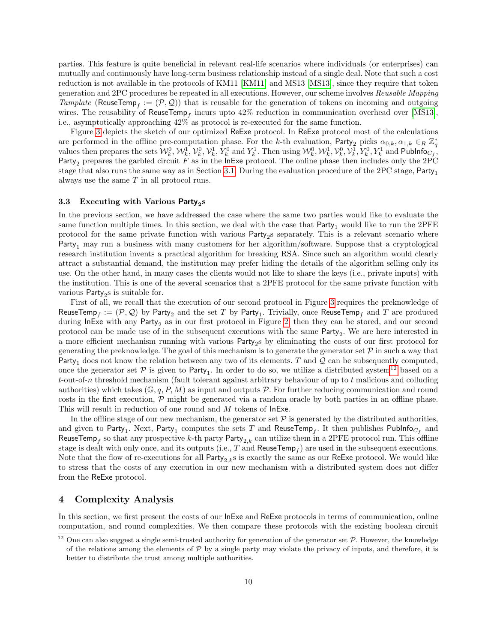parties. This feature is quite beneficial in relevant real-life scenarios where individuals (or enterprises) can mutually and continuously have long-term business relationship instead of a single deal. Note that such a cost reduction is not available in the protocols of KM11 [\[KM11\]](#page-17-0) and MS13 [\[MS13\]](#page-17-1), since they require that token generation and 2PC procedures be repeated in all executions. However, our scheme involves Reusable Mapping Tamplate (ReuseTemp<sub>f</sub> :=  $(\mathcal{P}, \mathcal{Q})$ ) that is reusable for the generation of tokens on incoming and outgoing wires. The reusability of ReuseTemp<sub>f</sub> incurs upto  $42\%$  reduction in communication overhead over [\[MS13\]](#page-17-1), i.e., asymptotically approaching 42% as protocol is re-executed for the same function.

Figure [3](#page-8-0) depicts the sketch of our optimized ReExe protocol. In ReExe protocol most of the calculations are performed in the offline pre-computation phase. For the k-th evaluation, Party<sub>2</sub> picks  $\alpha_{0,k}, \alpha_{1,k} \in_R \mathbb{Z}_q^*$ values then prepares the sets  $\mathcal{W}_k^0$ ,  $\mathcal{W}_k^1$ ,  $\mathcal{V}_k^0$ ,  $\mathcal{V}_k^1$ ,  $Y_k^0$  and  $Y_k^1$ . Then using  $\mathcal{W}_k^0$ ,  $\mathcal{W}_k^1$ ,  $\mathcal{V}_k^0$ ,  $\mathcal{V}_k^1$ ,  $Y_k^0$ ,  $Y_k^1$  and  $\mathsf{Publnfo}_{C_f}$ , Party<sub>2</sub> prepares the garbled circuit F as in the InExe protocol. The online phase then includes only the 2PC stage that also runs the same way as in Section [3.1.](#page-5-1) During the evaluation procedure of the 2PC stage, Party<sub>1</sub> always use the same T in all protocol runs.

# <span id="page-9-1"></span>3.3 Executing with Various  ${\sf Party}_2$ s

In the previous section, we have addressed the case where the same two parties would like to evaluate the same function multiple times. In this section, we deal with the case that  $Party_1$  would like to run the 2PFE protocol for the same private function with various Party<sub>2</sub>s separately. This is a relevant scenario where Party<sub>1</sub> may run a business with many customers for her algorithm/software. Suppose that a cryptological research institution invents a practical algorithm for breaking RSA. Since such an algorithm would clearly attract a substantial demand, the institution may prefer hiding the details of the algorithm selling only its use. On the other hand, in many cases the clients would not like to share the keys (i.e., private inputs) with the institution. This is one of the several scenarios that a 2PFE protocol for the same private function with various Party<sub>2</sub>s is suitable for.

First of all, we recall that the execution of our second protocol in Figure [3](#page-8-0) requires the preknowledge of ReuseTemp $_f:=(\mathcal{P},\mathcal{Q})$  by Party $_2$  and the set  $T$  by Party $_1.$  Trivially, once ReuseTemp $_f$  and  $T$  are produced during InExe with any Party<sub>2</sub> as in our first protocol in Figure [2,](#page-6-0) then they can be stored, and our second protocol can be made use of in the subsequent executions with the same  $Party_2$ . We are here interested in a more efficient mechanism running with various Party<sub>2</sub>s by eliminating the costs of our first protocol for generating the preknowledge. The goal of this mechanism is to generate the generator set  $\mathcal P$  in such a way that Party<sub>1</sub> does not know the relation between any two of its elements. T and  $Q$  can be subsequently computed, once the generator set  $P$  is given to Party<sub>1</sub>. In order to do so, we utilize a distributed system<sup>[12](#page-0-0)</sup> based on a t-out-of-n threshold mechanism (fault tolerant against arbitrary behaviour of up to t malicious and colluding authorities) which takes  $(\mathbb{G}, q, P, M)$  as input and outputs P. For further reducing communication and round costs in the first execution,  $P$  might be generated via a random oracle by both parties in an offline phase. This will result in reduction of one round and M tokens of InExe.

In the offline stage of our new mechanism, the generator set  $P$  is generated by the distributed authorities. and given to  ${\sf Party}_1.$   ${\sf Next},$   ${\sf Party}_1$  computes the sets  $T$  and  ${\sf ReuseTemp}_f.$  It then publishes  ${\sf Publisher}_{C_f}$  and ReuseTemp<sub>f</sub> so that any prospective k-th party Party<sub>2,k</sub> can utilize them in a 2PFE protocol run. This offline stage is dealt with only once, and its outputs (i.e.,  $T$  and  $\mathsf{ReuseTemp}_f)$  are used in the subsequent executions. Note that the flow of re-executions for all Party<sub>2,k</sub>s is exactly the same as our ReExe protocol. We would like to stress that the costs of any execution in our new mechanism with a distributed system does not differ from the ReExe protocol.

### <span id="page-9-0"></span>4 Complexity Analysis

In this section, we first present the costs of our InExe and ReExe protocols in terms of communication, online computation, and round complexities. We then compare these protocols with the existing boolean circuit

<sup>&</sup>lt;sup>12</sup> One can also suggest a single semi-trusted authority for generation of the generator set  $P$ . However, the knowledge of the relations among the elements of  $P$  by a single party may violate the privacy of inputs, and therefore, it is better to distribute the trust among multiple authorities.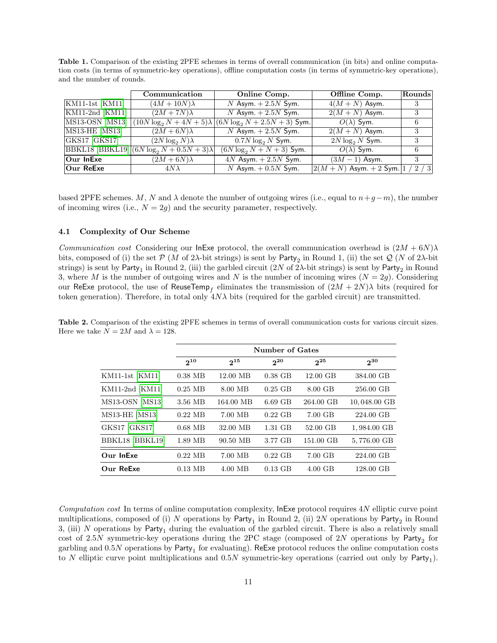<span id="page-10-0"></span>Table 1. Comparison of the existing 2PFE schemes in terms of overall communication (in bits) and online computation costs (in terms of symmetric-key operations), offline computation costs (in terms of symmetric-key operations), and the number of rounds.

|                                       | Communication                                                                 | Online Comp.                                                    | Offline Comp.                    | Rounds |
|---------------------------------------|-------------------------------------------------------------------------------|-----------------------------------------------------------------|----------------------------------|--------|
| $\overline{\text{KM11-1st}}$ [KM11]   | $(4M+10N)\lambda$                                                             | N Asym. $+2.5N$ Sym.                                            | $4(M+N)$ Asym.                   |        |
| $\vert$ KM11-2nd $\vert$ KM11 $\vert$ | $(2M + 7N)\lambda$                                                            | N Asym. $+2.5N$ Sym.                                            | $2(M+N)$ Asym.                   | 3      |
| MS13-OSN [MS13]                       |                                                                               | $(10N \log_2 N + 4N + 5)\lambda  (6N \log_2 N + 2.5N + 3)$ Sym. | $O(\lambda)$ Sym.                | 6      |
| MS13-HE [MS13]                        | $(2M+6N)\lambda$                                                              | N Asym. $+2.5N$ Sym.                                            | $2(M+N)$ Asym.                   | 3      |
| GKS17 GKS17                           | $(2N \log_2 N)\lambda$                                                        | $0.7N \log_2 N$ Sym.                                            | $2N \log_2 N$ Sym.               | 3      |
|                                       | $\frac{B}{B}{KL18} \frac{B}{B}{KL19} \frac{(6N \log_2 N + 0.5N + 3)\lambda}{$ | $(6N \log_2 N + N + 3)$ Sym.                                    | $O(\lambda)$ Sym.                | 6      |
| $ Our$ InExe                          | $\overline{(2M+6N)\lambda}$                                                   | $4N$ Asym. $+2.5N$ Sym.                                         | $(3M - 1)$ Asym.                 | 3      |
| $ Our$ ReExe                          | $4N\lambda$                                                                   | N Asym. $+0.5N$ Sym.                                            | $ 2(M+N)$ Asym. $+ 2$ Sym. $ 1 $ | 2/3    |

based 2PFE schemes. M, N and  $\lambda$  denote the number of outgoing wires (i.e., equal to  $n+q-m$ ), the number of incoming wires (i.e.,  $N = 2g$ ) and the security parameter, respectively.

### 4.1 Complexity of Our Scheme

*Communication cost* Considering our InExe protocol, the overall communication overhead is  $(2M + 6N)\lambda$ bits, composed of (i) the set  $P$  (*M* of 2 $\lambda$ -bit strings) is sent by Party<sub>2</sub> in Round 1, (ii) the set  $Q$  (*N* of 2 $\lambda$ -bit strings) is sent by  ${\sf Party}_1$  in Round 2, (iii) the garbled circuit (2 $N$  of 2 $\lambda$ -bit strings) is sent by  ${\sf Party}_2$  in Round 3, where M is the number of outgoing wires and N is the number of incoming wires  $(N = 2g)$ . Considering our ReExe protocol, the use of ReuseTemp<sub>f</sub> eliminates the transmission of  $(2M + 2N)\lambda$  bits (required for token generation). Therefore, in total only  $4N\lambda$  bits (required for the garbled circuit) are transmitted.

|                       | Number of Gates |           |           |                   |              |
|-----------------------|-----------------|-----------|-----------|-------------------|--------------|
|                       | $2^{10}$        | $2^{15}$  | $2^{20}$  | $2^{25}$          | $2^{30}$     |
| $KM11-1st$ $KM11$     | $0.38$ MB       | 12.00 MB  | $0.38$ GB | $12.00$ GB        | 384.00 GB    |
| $KM11-2nd$ [KM11]     | $0.25$ MB       | 8.00 MB   | $0.25$ GB | 8.00 GB           | 256.00 GB    |
| MS13-OSN [MS13]       | 3.56 MB         | 164.00 MB | $6.69$ GB | 264.00 GB         | 10,048.00 GB |
| <b>MS13-HE [MS13]</b> | $0.22$ MB       | 7.00 MB   | $0.22$ GB | 7.00 GB           | 224.00 GB    |
| GKS17 [GKS17]         | $0.68$ MB       | 32.00 MB  | 1.31 GB   | 52.00 GB          | 1,984.00 GB  |
| BBKL18 [BBKL19]       | 1.89 MB         | 90.50 MB  | 3.77 GB   | 151.00 GB         | 5,776.00 GB  |
| Our InExe             | $0.22$ MB       | 7.00 MB   | $0.22$ GB | 7.00 GB           | 224.00 GB    |
| Our ReExe             | $0.13$ MB       | 4.00 MB   | $0.13$ GB | $4.00 \text{ GB}$ | 128.00 GB    |

<span id="page-10-1"></span>Table 2. Comparison of the existing 2PFE schemes in terms of overall communication costs for various circuit sizes. Here we take  $N = 2M$  and  $\lambda = 128$ .

Computation cost In terms of online computation complexity, InExe protocol requires  $4N$  elliptic curve point multiplications, composed of (i)  $N$  operations by  ${\sf Party}_1$  in Round 2, (ii)  $2N$  operations by  ${\sf Party}_2$  in Round 3, (iii) N operations by Party<sub>1</sub> during the evaluation of the garbled circuit. There is also a relatively small cost of 2.5N symmetric-key operations during the 2PC stage (composed of  $2N$  operations by  ${\sf Party}_2$  for garbling and  $0.5N$  operations by  ${\sf Party}_1$  for evaluating). ReExe protocol reduces the online computation costs to N elliptic curve point multiplications and  $0.5N$  symmetric-key operations (carried out only by  $Party_1$ ).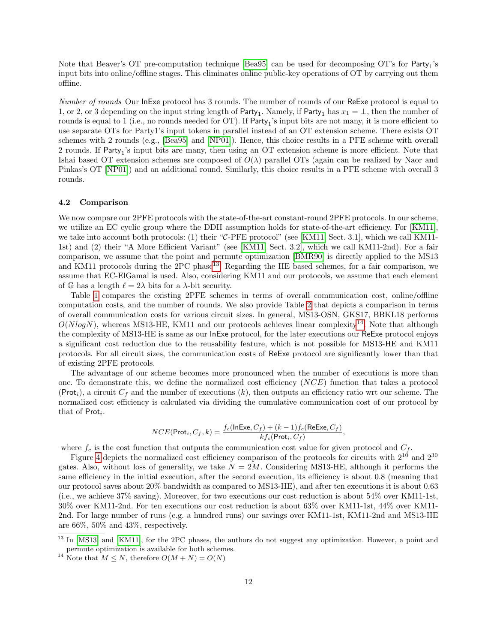Note that Beaver's OT pre-computation technique [\[Bea95\]](#page-16-13) can be used for decomposing OT's for Party<sub>1</sub>'s input bits into online/offline stages. This eliminates online public-key operations of OT by carrying out them offline.

Number of rounds Our InExe protocol has 3 rounds. The number of rounds of our ReExe protocol is equal to 1, or 2, or 3 depending on the input string length of Party<sub>1</sub>. Namely, if Party<sub>1</sub> has  $x_1 = \perp$ , then the number of rounds is equal to 1 (i.e., no rounds needed for OT). If  $Party_1$ 's input bits are not many, it is more efficient to use separate OTs for Party1's input tokens in parallel instead of an OT extension scheme. There exists OT schemes with 2 rounds (e.g., [\[Bea95\]](#page-16-13) and [\[NP01\]](#page-18-14)). Hence, this choice results in a PFE scheme with overall 2 rounds. If Party<sub>1</sub>'s input bits are many, then using an OT extension scheme is more efficient. Note that Ishai based OT extension schemes are composed of  $O(\lambda)$  parallel OTs (again can be realized by Naor and Pinkas's OT [\[NP01\]](#page-18-14)) and an additional round. Similarly, this choice results in a PFE scheme with overall 3 rounds.

#### 4.2 Comparison

We now compare our 2PFE protocols with the state-of-the-art constant-round 2PFE protocols. In our scheme, we utilize an EC cyclic group where the DDH assumption holds for state-of-the-art efficiency. For [\[KM11\]](#page-17-0), we take into account both protocols: (1) their "C-PFE protocol" (see [\[KM11,](#page-17-0) Sect. 3.1], which we call KM11- 1st) and (2) their "A More Efficient Variant" (see [\[KM11,](#page-17-0) Sect. 3.2], which we call KM11-2nd). For a fair comparison, we assume that the point and permute optimization [\[BMR90\]](#page-16-5) is directly applied to the MS13 and KM11 protocols during the 2PC phase<sup>[13](#page-0-0)</sup>. Regarding the HE based schemes, for a fair comparison, we assume that EC-ElGamal is used. Also, considering KM11 and our protocols, we assume that each element of G has a length  $\ell = 2\lambda$  bits for a  $\lambda$ -bit security.

Table [1](#page-10-0) compares the existing 2PFE schemes in terms of overall communication cost, online/offline computation costs, and the number of rounds. We also provide Table [2](#page-10-1) that depicts a comparison in terms of overall communication costs for various circuit sizes. In general, MS13-OSN, GKS17, BBKL18 performs  $O(NlogN)$ , whereas MS13-HE, KM11 and our protocols achieves linear complexity<sup>[14](#page-0-0)</sup>. Note that although the complexity of MS13-HE is same as our InExe protocol, for the later executions our ReExe protocol enjoys a significant cost reduction due to the reusability feature, which is not possible for MS13-HE and KM11 protocols. For all circuit sizes, the communication costs of ReExe protocol are significantly lower than that of existing 2PFE protocols.

The advantage of our scheme becomes more pronounced when the number of executions is more than one. To demonstrate this, we define the normalized cost efficiency (NCE) function that takes a protocol (Prot<sub>i</sub>), a circuit  $C_f$  and the number of executions (k), then outputs an efficiency ratio wrt our scheme. The normalized cost efficiency is calculated via dividing the cumulative communication cost of our protocol by that of  $Prot_i$ .

$$
NCE(\text{Prot}_i, C_f, k) = \frac{f_c(\text{InExe}, C_f) + (k-1)f_c(\text{ReExe}, C_f)}{kf_c(\text{Prot}_i, C_f)},
$$

where  $f_c$  is the cost function that outputs the communication cost value for given protocol and  $C_f$ .

Figure [4](#page-12-1) depicts the normalized cost efficiency comparison of the protocols for circuits with  $2^{10}$  and  $2^{30}$ gates. Also, without loss of generality, we take  $N = 2M$ . Considering MS13-HE, although it performs the same efficiency in the initial execution, after the second execution, its efficiency is about 0.8 (meaning that our protocol saves about 20% bandwidth as compared to MS13-HE), and after ten executions it is about 0.63 (i.e., we achieve 37% saving). Moreover, for two executions our cost reduction is about 54% over KM11-1st, 30% over KM11-2nd. For ten executions our cost reduction is about 63% over KM11-1st, 44% over KM11- 2nd. For large number of runs (e.g. a hundred runs) our savings over KM11-1st, KM11-2nd and MS13-HE are 66%, 50% and 43%, respectively.

<sup>&</sup>lt;sup>13</sup> In [\[MS13\]](#page-17-1) and [\[KM11\]](#page-17-0), for the 2PC phases, the authors do not suggest any optimization. However, a point and permute optimization is available for both schemes.

<sup>&</sup>lt;sup>14</sup> Note that  $M \leq N$ , therefore  $O(M+N) = O(N)$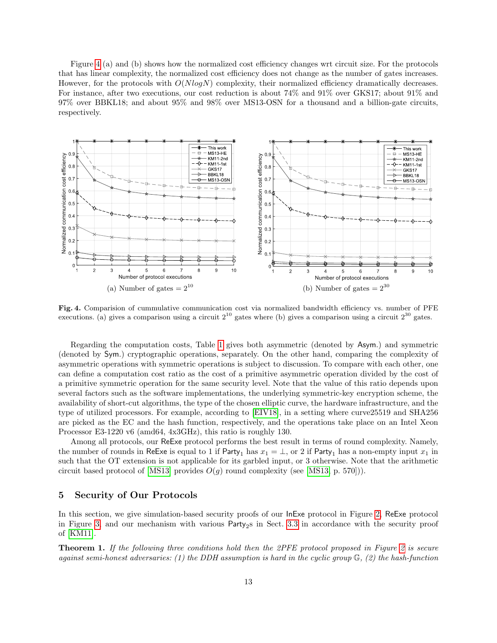Figure [4](#page-12-1) (a) and (b) shows how the normalized cost efficiency changes wrt circuit size. For the protocols that has linear complexity, the normalized cost efficiency does not change as the number of gates increases. However, for the protocols with  $O(N \log N)$  complexity, their normalized efficiency dramatically decreases. For instance, after two executions, our cost reduction is about 74% and 91% over GKS17; about 91% and 97% over BBKL18; and about 95% and 98% over MS13-OSN for a thousand and a billion-gate circuits, respectively.



<span id="page-12-1"></span>Fig. 4. Comparision of cummulative communication cost via normalized bandwidth efficiency vs. number of PFE executions. (a) gives a comparison using a circuit  $2^{10}$  gates where (b) gives a comparison using a circuit  $2^{30}$  gates.

Regarding the computation costs, Table [1](#page-10-0) gives both asymmetric (denoted by Asym.) and symmetric (denoted by Sym.) cryptographic operations, separately. On the other hand, comparing the complexity of asymmetric operations with symmetric operations is subject to discussion. To compare with each other, one can define a computation cost ratio as the cost of a primitive asymmetric operation divided by the cost of a primitive symmetric operation for the same security level. Note that the value of this ratio depends upon several factors such as the software implementations, the underlying symmetric-key encryption scheme, the availability of short-cut algorithms, the type of the chosen elliptic curve, the hardware infrastructure, and the type of utilized processors. For example, according to [\[EIV18\]](#page-16-14), in a setting where curve25519 and SHA256 are picked as the EC and the hash function, respectively, and the operations take place on an Intel Xeon Processor E3-1220 v6 (amd64, 4x3GHz), this ratio is roughly 130.

Among all protocols, our ReExe protocol performs the best result in terms of round complexity. Namely, the number of rounds in ReExe is equal to 1 if Party<sub>1</sub> has  $x_1 = \perp$ , or 2 if Party<sub>1</sub> has a non-empty input  $x_1$  in such that the OT extension is not applicable for its garbled input, or 3 otherwise. Note that the arithmetic circuit based protocol of  $|MS13|$  provides  $O(g)$  round complexity (see  $|MS13, p. 570|$ )).

### <span id="page-12-0"></span>5 Security of Our Protocols

<span id="page-12-2"></span>In this section, we give simulation-based security proofs of our InExe protocol in Figure [2,](#page-6-0) ReExe protocol in Figure [3,](#page-8-0) and our mechanism with various  $Party_2$ s in Sect. [3.3](#page-9-1) in accordance with the security proof of [\[KM11\]](#page-17-0).

Theorem 1. If the following three conditions hold then the 2PFE protocol proposed in Figure [2](#page-6-0) is secure against semi-honest adversaries: (1) the DDH assumption is hard in the cyclic group  $\mathbb{G}$ , (2) the hash-function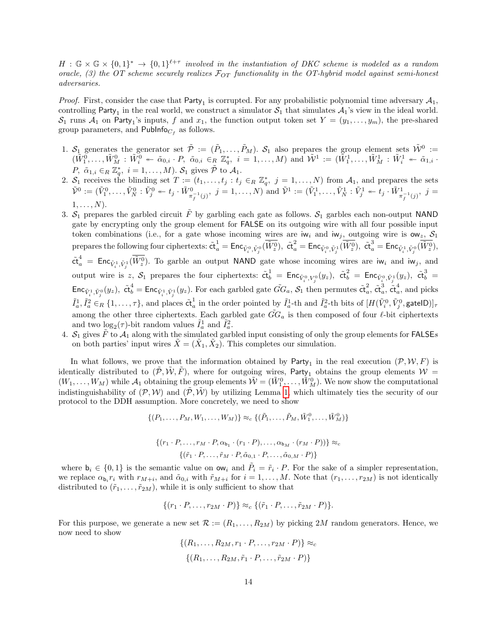$H : \mathbb{G} \times \mathbb{G} \times \{0,1\}^* \to \{0,1\}^{\ell+\tau}$  involved in the instantiation of DKC scheme is modeled as a random oracle, (3) the OT scheme securely realizes  $\mathcal{F}_{OT}$  functionality in the OT-hybrid model against semi-honest adversaries.

*Proof.* First, consider the case that  $Party_1$  is corrupted. For any probabilistic polynomial time adversary  $A_1$ , controlling Party<sub>1</sub> in the real world, we construct a simulator  $S_1$  that simulates  $A_1$ 's view in the ideal world.  $S_1$  runs  $A_1$  on Party<sub>1</sub>'s inputs, f and  $x_1$ , the function output token set  $Y = (y_1, \ldots, y_m)$ , the pre-shared group parameters, and Publnfo<sub>Cf</sub> as follows.

- 1.  $S_1$  generates the generator set  $\tilde{\mathcal{P}} := (\tilde{P}_1, \ldots, \tilde{P}_M)$ .  $S_1$  also prepares the group element sets  $\tilde{\mathcal{W}}^0 :=$  $(\tilde{W}_{1}^{\tilde{0}},\ldots,\tilde{W}_{M}^0\;:\;\tilde{W}_{i}^{\tilde{0}}\;\twoheadleftarrow\;\tilde{\alpha}_{0,i}\;\cdot\;P,\;\tilde{\alpha}_{0,i}\;\in_R\,\mathbb{Z}_{q}^{*},\;\,i\;=\;1,\ldots,M) \,\,\text{and}\,\,\tilde{\mathcal{W}}^{1}_{1}\;:=\;(\tilde{\bar{W}}_{1}^1,\ldots,\tilde{W}_{M}^1\;:\;\tilde{W}_{i}^1\;\twoheadleftarrow\;\tilde{\alpha}_{1,i}\;\cdot$ P,  $\tilde{\alpha}_{1,i} \in_R \mathbb{Z}_q^*$ ,  $i = 1, \ldots, M$ ).  $S_1$  gives  $\tilde{\mathcal{P}}$  to  $\mathcal{A}_1$ .
- 2.  $S_1$  receives the blinding set  $T := (t_1, \ldots, t_j : t_j \in_R \mathbb{Z}_q^*, j = 1, \ldots, N)$  from  $\mathcal{A}_1$ , and prepares the sets  $\tilde{\mathcal{V}}^0 := (\tilde{V}_1^0, \ldots, \tilde{V}_N^0 : \tilde{V}_{j}^0 \twoheadleftarrow t_j \cdot \tilde{W}_{\pi_{\tilde{f}}^{-1}(j)}^0, \ j = 1, \ldots, N) \text{ and } \tilde{\mathcal{V}}^1 := (\tilde{V}_1^1, \ldots, \tilde{V}_N^1 : \tilde{V}_j^1 \twoheadleftarrow t_j \cdot \tilde{W}_{\pi_{\tilde{f}}^{-1}(j)}^1, \ j = 1, \ldots, N$  $1, \ldots, N$ ).
- 3.  $S_1$  prepares the garbled circuit  $\tilde{F}$  by garbling each gate as follows.  $S_1$  garbles each non-output NAND gate by encrypting only the group element for FALSE on its outgoing wire with all four possible input token combinations (i.e., for a gate whose incoming wires are iw<sub>i</sub> and iw<sub>j</sub>, outgoing wire is  $\mathsf{ow}_z$ ,  $\mathcal{S}_1$ prepares the following four ciphertexts:  $\tilde{\text{ct}}_a^1 = \textsf{Enc}_{\tilde{V}_i^0, \tilde{V}_j^0}(\overline{\tilde{W}_z^0}), \ \tilde{\text{ct}}_a^2 = \textsf{Enc}_{\tilde{V}_i^0, \tilde{V}_j^1}(\overline{\tilde{W}_z^0}), \ \tilde{\text{ct}}_a^3 = \textsf{Enc}_{\tilde{V}_i^1, \tilde{V}_j^0}(\overline{\tilde{W}_z^0}),$  $\tilde{\text{ct}}_a^4$  =  $\text{Enc}_{\tilde{V}_i^1, \tilde{V}_j^1}(\overline{\tilde{W}_z^0})$ . To garble an output NAND gate whose incoming wires are iw<sub>i</sub> and iw<sub>j</sub>, and output wire is z,  $S_1$  prepares the four ciphertexts:  $\tilde{\text{ct}}_b^1 = \text{Enc}_{\tilde{V}_i^0, V_j^0}(y_z)$ ,  $\tilde{\text{ct}}_b^2 = \text{Enc}_{\tilde{V}_i^0, \tilde{V}_j^1}(y_z)$ ,  $\tilde{\text{ct}}_b^3 =$  $\mathsf{Enc}_{\tilde{V}_i^1, \tilde{V}_j^0}(y_z)$ ,  $\tilde{\mathsf{ct}}_b^4 = \mathsf{Enc}_{\tilde{V}_i^1, \tilde{V}_j^1}(y_z)$ . For each garbled gate  $\tilde{G}G_a$ ,  $\mathcal{S}_1$  then permutes  $\tilde{\mathsf{ct}}_a^2$  $_a^2$ ,  $\tilde{\mathfrak{ct}}_a^3$  $_{a}^{3},\,\tilde{\mathsf{ct}}_{a}^{4}$  $a^*$ , and picks  $\tilde{I}_a^1, \tilde{I}_a^2 \in_R \{1, \ldots, \tau\},$  and places  $\tilde{c}t_a^1$  $\frac{1}{a}$  in the order pointed by  $\tilde{I}^1_a$ -th and  $\tilde{I}^2_a$ -th bits of  $[H(\tilde{V}^0_i, \tilde{V}^0_j, \mathsf{gateID})]_{\tau}$ among the other three ciphertexts. Each garbled gate  $\tilde{G}G_a$  is then composed of four  $\ell$ -bit ciphertexts and two  $\log_2(\tau)$ -bit random values  $\tilde{I}_a^1$  and  $\tilde{I}_a^2$ .
- 4.  $S_1$  gives  $\tilde{F}$  to  $A_1$  along with the simulated garbled input consisting of only the group elements for FALSEs on both parties' input wires  $\tilde{X} = (\tilde{X}_1, \tilde{X}_2)$ . This completes our simulation.

In what follows, we prove that the information obtained by  $Party_1$  in the real execution  $(\mathcal{P}, \mathcal{W}, F)$  is identically distributed to  $(\tilde{\mathcal{P}}, \tilde{\mathcal{W}}, \tilde{\mathcal{F}})$ , where for outgoing wires, Party<sub>1</sub> obtains the group elements  $\mathcal{W} =$  $(W_1,\ldots,W_M)$  while  $\mathcal{A}_1$  obtaining the group elements  $\tilde{\mathcal{W}} = (\tilde{W}_1^0,\ldots,\tilde{W}_M^0)$ . We now show the computational indistinguishability of  $(\mathcal{P}, \mathcal{W})$  and  $(\tilde{\mathcal{P}}, \tilde{\mathcal{W}})$  by utilizing Lemma [1,](#page-3-1) which ultimately ties the security of our protocol to the DDH assumption. More concretely, we need to show

$$
\{(P_1, \ldots, P_M, W_1, \ldots, W_M)\} \approx_c \{(\tilde{P}_1, \ldots, \tilde{P}_M, \tilde{W}_1^0, \ldots, \tilde{W}_M^0)\}
$$

$$
\{(r_1 \cdot P, \dots, r_M \cdot P, \alpha_{b_1} \cdot (r_1 \cdot P), \dots, \alpha_{b_M} \cdot (r_M \cdot P))\} \approx_c
$$

$$
\{(\tilde{r}_1 \cdot P, \dots, \tilde{r}_M \cdot P, \tilde{\alpha}_{0,1} \cdot P, \dots, \tilde{\alpha}_{0,M} \cdot P)\}
$$

where  $\mathbf{b}_i \in \{0,1\}$  is the semantic value on  $\mathbf{ow}_i$  and  $\tilde{P}_i = \tilde{r}_i \cdot P$ . For the sake of a simpler representation, we replace  $\alpha_{b_i} r_i$  with  $r_{M+i}$ , and  $\tilde{\alpha}_{0,i}$  with  $\tilde{r}_{M+i}$  for  $i=1,\ldots,M$ . Note that  $(r_1,\ldots,r_{2M})$  is not identically distributed to  $(\tilde{r}_1, \ldots, \tilde{r}_{2M})$ , while it is only sufficient to show that

$$
\{(r_1\cdot P,\ldots,r_{2M}\cdot P)\}\approx_c \{(\tilde{r}_1\cdot P,\ldots,\tilde{r}_{2M}\cdot P)\}.
$$

For this purpose, we generate a new set  $\mathcal{R} := (R_1, \ldots, R_{2M})$  by picking 2M random generators. Hence, we now need to show

> $\{(R_1, \ldots, R_{2M}, r_1 \cdot P, \ldots, r_{2M} \cdot P)\} \approx_c$  $\{(R_1, \ldots, R_{2M}, \tilde{r}_1 \cdot P, \ldots, \tilde{r}_{2M} \cdot P)\}$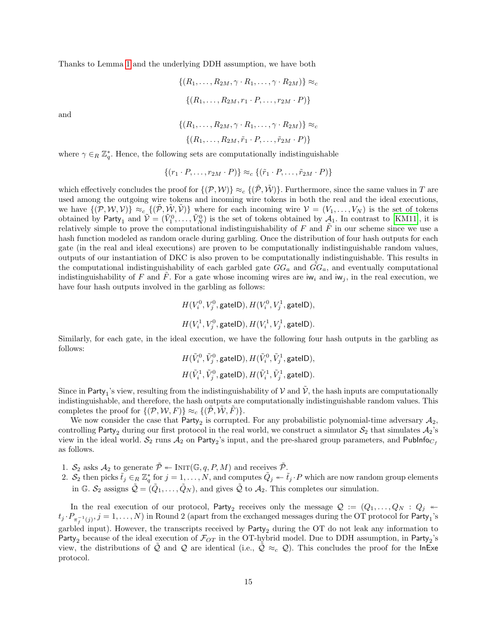Thanks to Lemma [1](#page-3-1) and the underlying DDH assumption, we have both

$$
\{(R_1,\ldots,R_{2M},\gamma\cdot R_1,\ldots,\gamma\cdot R_{2M})\}\approx_c
$$

$$
\{(R_1,\ldots,R_{2M},r_1\cdot P,\ldots,r_{2M}\cdot P)\}
$$

and

$$
\{(R_1,\ldots,R_{2M},\gamma\cdot R_1,\ldots,\gamma\cdot R_{2M})\}\approx_c\{(R_1,\ldots,R_{2M},\tilde{r}_1\cdot P,\ldots,\tilde{r}_{2M}\cdot P)\}\
$$

where  $\gamma \in_R \mathbb{Z}_q^*$ . Hence, the following sets are computationally indistinguishable

$$
\{(r_1 \cdot P, \ldots, r_{2M} \cdot P)\} \approx_c \{(\tilde{r}_1 \cdot P, \ldots, \tilde{r}_{2M} \cdot P)\}
$$

which effectively concludes the proof for  $\{(\mathcal{P}, \mathcal{W})\}\approx_c \{(\mathcal{P}, \mathcal{W})\}$ . Furthermore, since the same values in T are used among the outgoing wire tokens and incoming wire tokens in both the real and the ideal executions, we have  $\{(\mathcal{P}, \mathcal{W}, \mathcal{V})\}\approx_c \{(\mathcal{P}, \mathcal{W}, \mathcal{V})\}$  where for each incoming wire  $\mathcal{V}=(V_1,\ldots,V_N)$  is the set of tokens obtained by Party<sub>1</sub> and  $\tilde{V} = (\tilde{V}_1^0, \ldots, \tilde{V}_N^0)$  is the set of tokens obtained by  $\mathcal{A}_1$ . In contrast to [\[KM11\]](#page-17-0), it is relatively simple to prove the computational indistinguishability of  $F$  and  $F$  in our scheme since we use a hash function modeled as random oracle during garbling. Once the distribution of four hash outputs for each gate (in the real and ideal executions) are proven to be computationally indistinguishable random values, outputs of our instantiation of DKC is also proven to be computationally indistinguishable. This results in the computational indistinguishability of each garbled gate  $GG_a$  and  $\tilde{GG}_a$ , and eventually computational indistinguishability of F and F. For a gate whose incoming wires are  $w_i$  and  $w_j$ , in the real execution, we have four hash outputs involved in the garbling as follows:

$$
H(V_i^0, V_j^0, \text{gateID}), H(V_i^0, V_j^1, \text{gateID}),
$$
  

$$
H(V_i^1, V_j^0, \text{gateID}), H(V_i^1, V_j^1, \text{gateID}).
$$

Similarly, for each gate, in the ideal execution, we have the following four hash outputs in the garbling as follows:

$$
H(\tilde{V}_i^0,\tilde{V}_j^0,\text{gateID}),H(\tilde{V}_i^0,\tilde{V}_j^1,\text{gateID}),\\ H(\tilde{V}_i^1,\tilde{V}_j^0,\text{gateID}),H(\tilde{V}_i^1,\tilde{V}_j^1,\text{gateID}).
$$

Since in Party<sub>1</sub>'s view, resulting from the indistinguishability of  $V$  and  $\tilde{V}$ , the hash inputs are computationally indistinguishable, and therefore, the hash outputs are computationally indistinguishable random values. This completes the proof for  $\{(\mathcal{P}, \mathcal{W}, F)\}\approx_c \{(\mathcal{P}, \mathcal{W}, F)\}.$ 

We now consider the case that  $P$ arty<sub>2</sub> is corrupted. For any probabilistic polynomial-time adversary  $A_2$ , controlling Party<sub>2</sub> during our first protocol in the real world, we construct a simulator  $S_2$  that simulates  $A_2$ 's view in the ideal world.  $\mathcal{S}_2$  runs  $\mathcal{A}_2$  on Party<sub>2</sub>'s input, and the pre-shared group parameters, and PubInfo<sub>Cf</sub> as follows.

- 1.  $S_2$  asks  $A_2$  to generate  $\tilde{\mathcal{P}} \leftarrow \text{INIT}(\mathbb{G}, q, P, M)$  and receives  $\tilde{\mathcal{P}}$ .
- 2.  $S_2$  then picks  $\tilde{t}_j \in_R \mathbb{Z}_q^*$  for  $j = 1, \ldots, N$ , and computes  $\tilde{Q}_j \leftarrow \tilde{t}_j \cdot P$  which are now random group elements in G.  $S_2$  assigns  $\tilde{Q} = (\tilde{Q}_1, \ldots, \tilde{Q}_N)$ , and gives  $\tilde{Q}$  to  $A_2$ . This completes our simulation.

In the real execution of our protocol, Party<sub>2</sub> receives only the message  $\mathcal{Q} := (Q_1, \ldots, Q_N : Q_j \twoheadleftarrow$  $t_j \cdot P_{\pi_f^{-1}(j)}, j = 1, \ldots, N$ ) in Round 2 (apart from the exchanged messages during the OT protocol for Party<sub>1</sub>'s garbled input). However, the transcripts received by  $Party_2$  during the OT do not leak any information to Party<sub>2</sub> because of the ideal execution of  $\mathcal{F}_{OT}$  in the OT-hybrid model. Due to DDH assumption, in Party<sub>2</sub>'s view, the distributions of  $\tilde{Q}$  and  $Q$  are identical (i.e.,  $\tilde{Q} \approx_c Q$ ). This concludes the proof for the InExe protocol.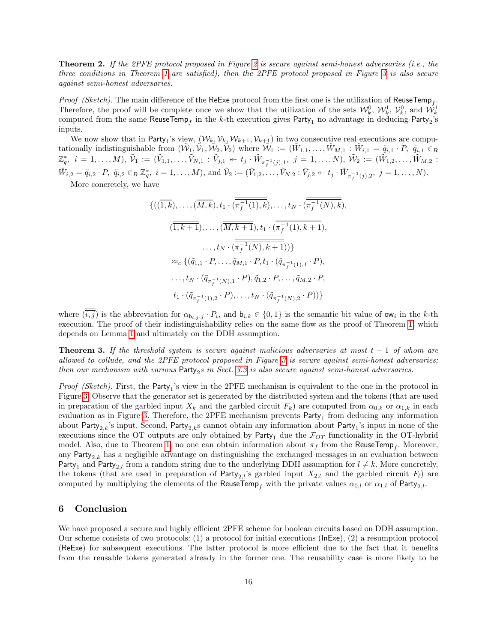**Theorem [2](#page-6-0).** If the 2PFE protocol proposed in Figure 2 is secure against semi-honest adversaries (i.e., the three conditions in Theorem [1](#page-12-2) are satisfied), then the 2PFE protocol proposed in Figure [3](#page-8-0) is also secure against semi-honest adversaries.

*Proof (Sketch)*. The main difference of the ReExe protocol from the first one is the utilization of ReuseTemp<sub>f</sub>. Therefore, the proof will be complete once we show that the utilization of the sets  $\mathcal{W}_k^0$ ,  $\mathcal{W}_k^1$ ,  $\mathcal{V}_k^0$ , and  $\mathcal{W}_k^1$ computed from the same  $\mathsf{ReuseTemp}_f$  in the  $k\text{-th execution gives } \mathsf{Party}_1$  no advantage in deducing  $\mathsf{Party}_2\text{'s}$ inputs.

We now show that in Party<sub>1</sub>'s view,  $(W_k, V_k, W_{k+1}, V_{k+1})$  in two consecutive real executions are computationally indistinguishable from  $(\tilde{W}_1, \tilde{V}_1, \tilde{W}_2, \tilde{V}_2)$  where  $\tilde{W}_1 := (\tilde{W}_{1,1}, \ldots, \tilde{W}_{M,1} : \tilde{W}_{i,1} = \tilde{q}_{i,1} \cdot P, \tilde{q}_{i,1} \in_R$  $\mathbb{Z}_q^*, \ \ i=1,\ldots,M), \ \tilde{\mathcal{V}}_1:=(\tilde{V}_{1,1},\ldots,\tilde{V}_{N,1}:\tilde{V}_{j,1}\twoheadleftarrow t_j\cdot \tilde{W}_{\pi^{-1}_f(j),1}, \ \ j=1,\ldots,N), \ \tilde{\mathcal{W}}_2:=(\tilde{W}_{1,2},\ldots,\tilde{W}_{M,2}:\tilde{\mathcal{V}}_1:=(\tilde{W}_{1,2},\ldots,\tilde{W}_{M,2})$  $\tilde{W}_{i,2} = \tilde{q}_{i,2} \cdot P$ ,  $\tilde{q}_{i,2} \in_R \mathbb{Z}_q^*$ ,  $i = 1, ..., M$ , and  $\tilde{\mathcal{V}}_2 := (\tilde{V}_{1,2}, ..., \tilde{V}_{N,2} : \tilde{V}_{j,2} \leftarrow t_j \cdot \tilde{W}_{\pi_f^{-1}(j),2}, j = 1, ..., N$ . More concretely, we have

$$
\{((\overline{1,k}), \ldots, (\overline{M,k}), t_1 \cdot (\overline{\pi_f^{-1}(1),k}), \ldots, t_N \cdot (\overline{\pi_f^{-1}(N),k}),
$$
  

$$
(\overline{1,k+1}), \ldots, (\overline{M,k+1}), t_1 \cdot (\overline{\pi_f^{-1}(1),k+1}),
$$
  

$$
\ldots, t_N \cdot (\overline{\pi_f^{-1}(N),k+1}))\}
$$
  

$$
\approx_c \{(\tilde{q}_{1,1} \cdot P, \ldots, \tilde{q}_{M,1} \cdot P, t_1 \cdot (\tilde{q}_{\pi_f^{-1}(1),1} \cdot P),
$$
  

$$
\ldots, t_N \cdot (\tilde{q}_{\pi_f^{-1}(N),1} \cdot P), \tilde{q}_{1,2} \cdot P, \ldots, \tilde{q}_{M,2} \cdot P,
$$
  

$$
t_1 \cdot (\tilde{q}_{\pi_f^{-1}(1),2} \cdot P), \ldots, t_N \cdot (\tilde{q}_{\pi_f^{-1}(N),2} \cdot P))\}
$$

where  $(\overline{i}, \overline{j})$  is the abbreviation for  $\alpha_{\mathbf{b}_{i,j},j} \cdot P_i$ , and  $\mathbf{b}_{i,k} \in \{0,1\}$  is the semantic bit value of  $\alpha_{\mathbf{w}_i}$  in the k-th execution. The proof of their indistinguishability relies on the same flow as the proof of Theorem [1,](#page-12-2) which depends on Lemma [1](#page-3-1) and ultimately on the DDH assumption.

**Theorem 3.** If the threshold system is secure against malicious adversaries at most  $t - 1$  of whom are allowed to collude, and the 2PFE protocol proposed in Figure [3](#page-8-0) is secure against semi-honest adversaries; then our mechanism with various  $\textsf{Party}_2s$  in Sect. [3.3](#page-9-1) is also secure against semi-honest adversaries.

*Proof (Sketch)*. First, the  $Party_1$ 's view in the 2PFE mechanism is equivalent to the one in the protocol in Figure [3.](#page-8-0) Observe that the generator set is generated by the distributed system and the tokens (that are used in preparation of the garbled input  $X_k$  and the garbled circuit  $F_k$ ) are computed from  $\alpha_{0,k}$  or  $\alpha_{1,k}$  in each evaluation as in Figure [3.](#page-8-0) Therefore, the 2PFE mechanism prevents  ${\sf Party}_1$  from deducing any information about Party<sub>2,k</sub>'s input. Second, Party<sub>2,k</sub>s cannot obtain any information about Party<sub>1</sub>'s input in none of the executions since the OT outputs are only obtained by Party<sub>1</sub> due the  $\mathcal{F}_{OT}$  functionality in the OT-hybrid model. Also, due to Theorem [1,](#page-12-2) no one can obtain information about  $\pi_f$  from the ReuseTemp<sub>f</sub>. Moreover, any Party<sub>2,k</sub> has a negligible advantage on distinguishing the exchanged messages in an evaluation between Party<sub>1</sub> and Party<sub>2,l</sub> from a random string due to the underlying DDH assumption for  $l \neq k$ . More concretely, the tokens (that are used in preparation of Party<sub>2,l</sub>'s garbled input  $X_{2,l}$  and the garbled circuit  $F_l$ ) are computed by multiplying the elements of the ReuseTemp<sub>f</sub> with the private values  $\alpha_{0,l}$  or  $\alpha_{1,l}$  of Party<sub>2,l</sub>.

## <span id="page-15-0"></span>6 Conclusion

We have proposed a secure and highly efficient 2PFE scheme for boolean circuits based on DDH assumption. Our scheme consists of two protocols: (1) a protocol for initial executions (InExe), (2) a resumption protocol (ReExe) for subsequent executions. The latter protocol is more efficient due to the fact that it benefits from the reusable tokens generated already in the former one. The reusability case is more likely to be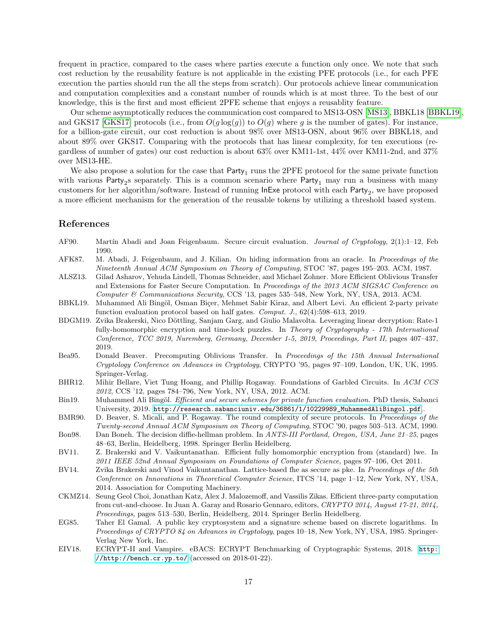frequent in practice, compared to the cases where parties execute a function only once. We note that such cost reduction by the reusability feature is not applicable in the existing PFE protocols (i.e., for each PFE execution the parties should run the all the steps from scratch). Our protocols achieve linear communication and computation complexities and a constant number of rounds which is at most three. To the best of our knowledge, this is the first and most efficient 2PFE scheme that enjoys a reusablity feature.

Our scheme asymptotically reduces the communication cost compared to MS13-OSN [\[MS13\]](#page-17-1), BBKL18 [\[BBKL19\]](#page-16-0), and GKS17 [\[GKS17\]](#page-17-3) protocols (i.e., from  $O(q \log(q))$  to  $O(q)$  where q is the number of gates). For instance, for a billion-gate circuit, our cost reduction is about 98% over MS13-OSN, about 96% over BBKL18, and about 89% over GKS17. Comparing with the protocols that has linear complexity, for ten executions (regardless of number of gates) our cost reduction is about 63% over KM11-1st, 44% over KM11-2nd, and 37% over MS13-HE.

We also propose a solution for the case that  $Party_1$  runs the 2PFE protocol for the same private function with various Party<sub>2</sub>s separately. This is a common scenario where Party<sub>1</sub> may run a business with many customers for her algorithm/software. Instead of running  ${\sf InExe}$  protocol with each  ${\sf Party}_2,$  we have proposed a more efficient mechanism for the generation of the reusable tokens by utilizing a threshold based system.

#### References

- <span id="page-16-7"></span>AF90. Martín Abadi and Joan Feigenbaum. Secure circuit evaluation. *Journal of Cryptology*, 2(1):1–12, Feb 1990.
- <span id="page-16-6"></span>AFK87. M. Abadi, J. Feigenbaum, and J. Kilian. On hiding information from an oracle. In Proceedings of the Nineteenth Annual ACM Symposium on Theory of Computing, STOC '87, pages 195–203. ACM, 1987.
- <span id="page-16-12"></span>ALSZ13. Gilad Asharov, Yehuda Lindell, Thomas Schneider, and Michael Zohner. More Efficient Oblivious Transfer and Extensions for Faster Secure Computation. In Proceedings of the 2013 ACM SIGSAC Conference on Computer & Communications Security, CCS '13, pages 535–548, New York, NY, USA, 2013. ACM.
- <span id="page-16-0"></span>BBKL19. Muhammed Ali Bingöl, Osman Biçer, Mehmet Sabir Kiraz, and Albert Levi. An efficient 2-party private function evaluation protocol based on half gates. Comput. J.,  $62(4):598-613$ ,  $2019$ .
- <span id="page-16-4"></span>BDGM19. Zvika Brakerski, Nico Döttling, Sanjam Garg, and Giulio Malavolta. Leveraging linear decryption: Rate-1 fully-homomorphic encryption and time-lock puzzles. In Theory of Cryptography - 17th International Conference, TCC 2019, Nuremberg, Germany, December 1-5, 2019, Proceedings, Part II, pages 407–437, 2019.
- <span id="page-16-13"></span>Bea95. Donald Beaver. Precomputing Oblivious Transfer. In Proceedings of the 15th Annual International Cryptology Conference on Advances in Cryptology, CRYPTO '95, pages 97–109, London, UK, UK, 1995. Springer-Verlag.
- <span id="page-16-11"></span>BHR12. Mihir Bellare, Viet Tung Hoang, and Phillip Rogaway. Foundations of Garbled Circuits. In ACM CCS 2012, CCS '12, pages 784–796, New York, NY, USA, 2012. ACM.
- <span id="page-16-1"></span>Bin19. Muhammed Ali Bingöl. Efficient and secure schemes for private function evaluation. PhD thesis, Sabanci University, 2019. [http://research.sabanciuniv.edu/36861/1/10229989\\_MuhammedAliBingol.pdf](http://research.sabanciuniv.edu/36861/1/10229989_MuhammedAliBingol.pdf),.
- <span id="page-16-5"></span>BMR90. D. Beaver, S. Micali, and P. Rogaway. The round complexity of secure protocols. In Proceedings of the Twenty-second Annual ACM Symposium on Theory of Computing, STOC '90, pages 503–513. ACM, 1990.
- <span id="page-16-10"></span>Bon98. Dan Boneh. The decision diffie-hellman problem. In ANTS-III Portland, Oregon, USA, June 21–25, pages 48–63, Berlin, Heidelberg, 1998. Springer Berlin Heidelberg.
- <span id="page-16-2"></span>BV11. Z. Brakerski and V. Vaikuntanathan. Efficient fully homomorphic encryption from (standard) lwe. In 2011 IEEE 52nd Annual Symposium on Foundations of Computer Science, pages 97–106, Oct 2011.
- <span id="page-16-3"></span>BV14. Zvika Brakerski and Vinod Vaikuntanathan. Lattice-based fhe as secure as pke. In Proceedings of the 5th Conference on Innovations in Theoretical Computer Science, ITCS '14, page 1–12, New York, NY, USA, 2014. Association for Computing Machinery.
- <span id="page-16-9"></span>CKMZ14. Seung Geol Choi, Jonathan Katz, Alex J. Malozemoff, and Vassilis Zikas. Efficient three-party computation from cut-and-choose. In Juan A. Garay and Rosario Gennaro, editors, CRYPTO 2014, August 17-21, 2014, Proceedings, pages 513–530, Berlin, Heidelberg, 2014. Springer Berlin Heidelberg.
- <span id="page-16-8"></span>EG85. Taher El Gamal. A public key cryptosystem and a signature scheme based on discrete logarithms. In Proceedings of CRYPTO 84 on Advances in Cryptology, pages 10–18, New York, NY, USA, 1985. Springer-Verlag New York, Inc.
- <span id="page-16-14"></span>EIV18. ECRYPT-II and Vampire. eBACS: ECRYPT Benchmarking of Cryptographic Systems, 2018. [http:](http://http://bench.cr.yp.to/) [//http://bench.cr.yp.to/](http://http://bench.cr.yp.to/) (accessed on 2018-01-22).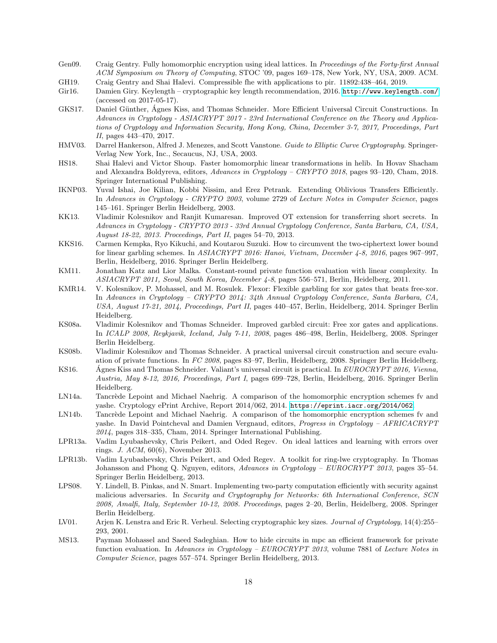- <span id="page-17-4"></span>Gen09. Craig Gentry. Fully homomorphic encryption using ideal lattices. In Proceedings of the Forty-first Annual ACM Symposium on Theory of Computing, STOC '09, pages 169–178, New York, NY, USA, 2009. ACM.
- <span id="page-17-10"></span>GH19. Craig Gentry and Shai Halevi. Compressible fhe with applications to pir. 11892:438–464, 2019.
- <span id="page-17-17"></span>Gir16. Damien Giry. Keylength – cryptographic key length recommendation, 2016. <http://www.keylength.com/> (accessed on 2017-05-17).
- <span id="page-17-3"></span>GKS17. Daniel Günther, Ágnes Kiss, and Thomas Schneider. More Efficient Universal Circuit Constructions. In Advances in Cryptology - ASIACRYPT 2017 - 23rd International Conference on the Theory and Applications of Cryptology and Information Security, Hong Kong, China, December 3-7, 2017, Proceedings, Part II, pages 443–470, 2017.
- <span id="page-17-15"></span>HMV03. Darrel Hankerson, Alfred J. Menezes, and Scott Vanstone. Guide to Elliptic Curve Cryptography. Springer-Verlag New York, Inc., Secaucus, NJ, USA, 2003.
- <span id="page-17-5"></span>HS18. Shai Halevi and Victor Shoup. Faster homomorphic linear transformations in helib. In Hovav Shacham and Alexandra Boldyreva, editors, Advances in Cryptology – CRYPTO 2018, pages 93–120, Cham, 2018. Springer International Publishing.
- <span id="page-17-19"></span>IKNP03. Yuval Ishai, Joe Kilian, Kobbi Nissim, and Erez Petrank. Extending Oblivious Transfers Efficiently. In Advances in Cryptology - CRYPTO 2003, volume 2729 of Lecture Notes in Computer Science, pages 145–161. Springer Berlin Heidelberg, 2003.
- <span id="page-17-20"></span>KK13. Vladimir Kolesnikov and Ranjit Kumaresan. Improved OT extension for transferring short secrets. In Advances in Cryptology - CRYPTO 2013 - 33rd Annual Cryptology Conference, Santa Barbara, CA, USA, August 18-22, 2013. Proceedings, Part II, pages 54–70, 2013.
- <span id="page-17-13"></span>KKS16. Carmen Kempka, Ryo Kikuchi, and Koutarou Suzuki. How to circumvent the two-ciphertext lower bound for linear garbling schemes. In ASIACRYPT 2016: Hanoi, Vietnam, December 4-8, 2016, pages 967–997, Berlin, Heidelberg, 2016. Springer Berlin Heidelberg.
- <span id="page-17-0"></span>KM11. Jonathan Katz and Lior Malka. Constant-round private function evaluation with linear complexity. In ASIACRYPT 2011, Seoul, South Korea, December 4-8, pages 556–571, Berlin, Heidelberg, 2011.
- <span id="page-17-12"></span>KMR14. V. Kolesnikov, P. Mohassel, and M. Rosulek. Flexor: Flexible garbling for xor gates that beats free-xor. In Advances in Cryptology – CRYPTO 2014: 34th Annual Cryptology Conference, Santa Barbara, CA, USA, August 17-21, 2014, Proceedings, Part II, pages 440–457, Berlin, Heidelberg, 2014. Springer Berlin Heidelberg.
- <span id="page-17-11"></span>KS08a. Vladimir Kolesnikov and Thomas Schneider. Improved garbled circuit: Free xor gates and applications. In ICALP 2008, Reykjavik, Iceland, July 7-11, 2008, pages 486–498, Berlin, Heidelberg, 2008. Springer Berlin Heidelberg.
- <span id="page-17-14"></span>KS08b. Vladimir Kolesnikov and Thomas Schneider. A practical universal circuit construction and secure evaluation of private functions. In FC 2008, pages 83–97, Berlin, Heidelberg, 2008. Springer Berlin Heidelberg.
- <span id="page-17-2"></span>KS16. Agnes Kiss and Thomas Schneider. Valiant's universal circuit is practical. In  $EUROCRYPT 2016$ , Vienna, Austria, May 8-12, 2016, Proceedings, Part I, pages 699–728, Berlin, Heidelberg, 2016. Springer Berlin Heidelberg.
- <span id="page-17-9"></span>LN14a. Tancrède Lepoint and Michael Naehrig. A comparison of the homomorphic encryption schemes fv and yashe. Cryptology ePrint Archive, Report 2014/062, 2014. <https://eprint.iacr.org/2014/062>.
- <span id="page-17-8"></span>LN14b. Tancrède Lepoint and Michael Naehrig. A comparison of the homomorphic encryption schemes fv and yashe. In David Pointcheval and Damien Vergnaud, editors, Progress in Cryptology – AFRICACRYPT 2014, pages 318–335, Cham, 2014. Springer International Publishing.
- <span id="page-17-6"></span>LPR13a. Vadim Lyubashevsky, Chris Peikert, and Oded Regev. On ideal lattices and learning with errors over rings. J. ACM, 60(6), November 2013.
- <span id="page-17-7"></span>LPR13b. Vadim Lyubashevsky, Chris Peikert, and Oded Regev. A toolkit for ring-lwe cryptography. In Thomas Johansson and Phong Q. Nguyen, editors, Advances in Cryptology – EUROCRYPT 2013, pages 35–54. Springer Berlin Heidelberg, 2013.
- <span id="page-17-18"></span>LPS08. Y. Lindell, B. Pinkas, and N. Smart. Implementing two-party computation efficiently with security against malicious adversaries. In Security and Cryptography for Networks: 6th International Conference, SCN 2008, Amalfi, Italy, September 10-12, 2008. Proceedings, pages 2–20, Berlin, Heidelberg, 2008. Springer Berlin Heidelberg.
- <span id="page-17-16"></span>LV01. Arjen K. Lenstra and Eric R. Verheul. Selecting cryptographic key sizes. Journal of Cryptology, 14(4):255– 293, 2001.
- <span id="page-17-1"></span>MS13. Payman Mohassel and Saeed Sadeghian. How to hide circuits in mpc an efficient framework for private function evaluation. In Advances in Cryptology – EUROCRYPT 2013, volume 7881 of Lecture Notes in Computer Science, pages 557–574. Springer Berlin Heidelberg, 2013.